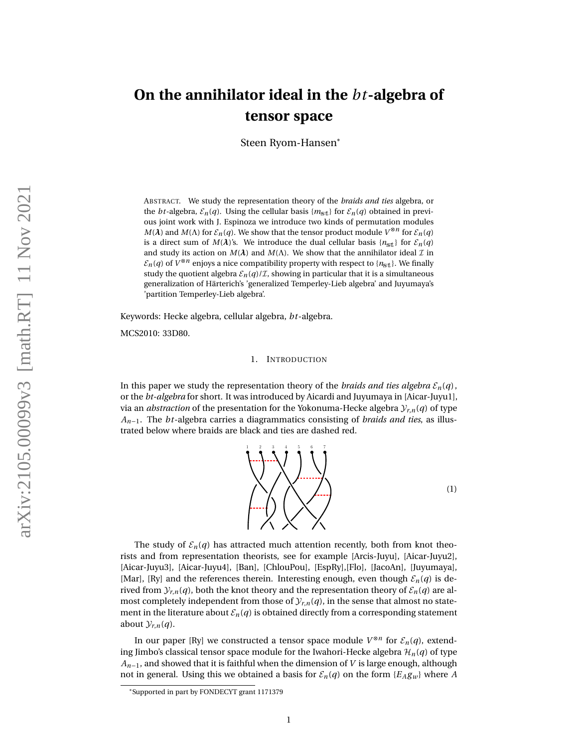# **On the annihilator ideal in the** *bt***-algebra of tensor space**

Steen Ryom-Hansen\*

ABSTRACT. We study the representation theory of the *braids and ties* algebra, or the *bt*-algebra,  $\mathcal{E}_n(q)$ . Using the cellular basis { $m_{\text{st}}$ } for  $\mathcal{E}_n(q)$  obtained in previous joint work with J. Espinoza we introduce two kinds of permutation modules *M*(*λ*) and *M*(*Λ*) for  $\mathcal{E}_n(q)$ . We show that the tensor product module  $V^{\otimes n}$  for  $\mathcal{E}_n(q)$ is a direct sum of *M*( $\lambda$ )'s. We introduce the dual cellular basis { $n_{\text{st}}$ } for  $\mathcal{E}_n(q)$ and study its action on  $M(\lambda)$  and  $M(\Lambda)$ . We show that the annihilator ideal  $\mathcal I$  in  $\mathcal{E}_n(q)$  of  $V^{\otimes n}$  enjoys a nice compatibility property with respect to  $\{n_{\text{st}}\}$ . We finally study the quotient algebra  $\mathcal{E}_n(q)/\mathcal{I}$ , showing in particular that it is a simultaneous generalization of Härterich's 'generalized Temperley-Lieb algebra' and Juyumaya's 'partition Temperley-Lieb algebra'.

Keywords: Hecke algebra, cellular algebra, *bt*-algebra.

MCS2010: 33D80.

# 1. INTRODUCTION

In this paper we study the representation theory of the *braids and ties algebra*  $\mathcal{E}_n(q)$ , or the *bt-algebra* for short. It was introduced by Aicardi and Juyumaya in [\[Aicar-Juyu1\]](#page-21-0), via an *abstraction* of the presentation for the Yokonuma-Hecke algebra  $\mathcal{Y}_{r,n}(q)$  of type *An*−1. The *bt*-algebra carries a diagrammatics consisting of *braids and ties*, as illustrated below where braids are black and ties are dashed red.



The study of  $\mathcal{E}_n(q)$  has attracted much attention recently, both from knot theorists and from representation theorists, see for example [\[Arcis-Juyu\]](#page-21-1), [\[Aicar-Juyu2\]](#page-21-2), [\[Aicar-Juyu3\]](#page-21-3), [\[Aicar-Juyu4\]](#page-21-4), [\[Ban\]](#page-21-5), [\[ChlouPou\]](#page-21-6), [\[EspRy\]](#page-21-7),[\[Flo\]](#page-21-8), [\[JacoAn\]](#page-22-0), [\[Juyumaya\]](#page-22-1), [\[Mar\]](#page-22-2), [\[Ry\]](#page-22-3) and the references therein. Interesting enough, even though  $\mathcal{E}_n(q)$  is derived from  $\mathcal{Y}_{r,n}(q)$ , both the knot theory and the representation theory of  $\mathcal{E}_n(q)$  are almost completely independent from those of  $\mathcal{Y}_{r,n}(q)$ , in the sense that almost no statement in the literature about  $\mathcal{E}_n(q)$  is obtained directly from a corresponding statement about  $\mathcal{Y}_{r,n}(q)$ .

In our paper [\[Ry\]](#page-22-3) we constructed a tensor space module  $V^{\otimes n}$  for  $\mathcal{E}_n(q)$ , extending Jimbo's classical tensor space module for the Iwahori-Hecke algebra  $\mathcal{H}_n(q)$  of type *An*−1, and showed that it is faithful when the dimension of *V* is large enough, although not in general. Using this we obtained a basis for  $\mathcal{E}_n(q)$  on the form  $\{E_A g_w\}$  where A

<sup>\*</sup>Supported in part by FONDECYT grant 1171379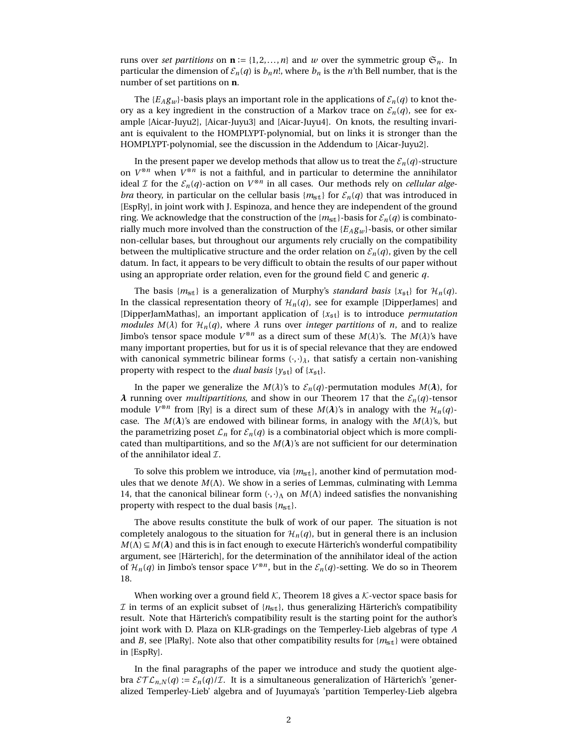runs over *set partitions* on  $\mathbf{n} := \{1, 2, ..., n\}$  and *w* over the symmetric group  $\mathfrak{S}_n$ . In particular the dimension of  $\mathcal{E}_n(q)$  is  $b_n n!$ , where  $b_n$  is the *n*'th Bell number, that is the number of set partitions on **n**.

The  ${E_A g_w}$ -basis plays an important role in the applications of  ${\mathcal{E}_n(q)}$  to knot theory as a key ingredient in the construction of a Markov trace on  $\mathcal{E}_n(q)$ , see for example [\[Aicar-Juyu2\]](#page-21-2), [\[Aicar-Juyu3\]](#page-21-3) and [\[Aicar-Juyu4\]](#page-21-4). On knots, the resulting invariant is equivalent to the HOMPLYPT-polynomial, but on links it is stronger than the HOMPLYPT-polynomial, see the discussion in the Addendum to [\[Aicar-Juyu2\]](#page-21-2).

In the present paper we develop methods that allow us to treat the  $\mathcal{E}_n(q)$ -structure on  $V^{\otimes n}$  when  $V^{\otimes n}$  is not a faithful, and in particular to determine the annihilator ideal *I* for the  $\mathcal{E}_n(q)$ -action on  $V^{\otimes n}$  in all cases. Our methods rely on *cellular algebra* theory, in particular on the cellular basis  ${m_{st}}$  for  ${\mathcal{E}_n(q)}$  that was introduced in [\[EspRy\]](#page-21-7), in joint work with J. Espinoza, and hence they are independent of the ground ring. We acknowledge that the construction of the  ${m_{st}}$ -basis for  ${\mathcal{E}_n(q)}$  is combinatorially much more involved than the construction of the  ${E_A g_w}$  basis, or other similar non-cellular bases, but throughout our arguments rely crucially on the compatibility between the multiplicative structure and the order relation on  $\mathcal{E}_n(q)$ , given by the cell datum. In fact, it appears to be very difficult to obtain the results of our paper without using an appropriate order relation, even for the ground field C and generic *q*.

The basis  ${m_{st}}$  is a generalization of Murphy's *standard basis*  ${x_{st}}$  for  $\mathcal{H}_n(q)$ . In the classical representation theory of  $\mathcal{H}_n(q)$ , see for example [\[DipperJames\]](#page-21-9) and [\[DipperJamMathas\]](#page-21-10), an important application of  $\{x_{\mathfrak{s}t}\}\)$  is to introduce *permutation modules M*( $\lambda$ ) for  $\mathcal{H}_n(q)$ , where  $\lambda$  runs over *integer partitions* of *n*, and to realize Jimbo's tensor space module  $V^{\otimes n}$  as a direct sum of these  $M(\lambda)$ 's. The  $M(\lambda)$ 's have many important properties, but for us it is of special relevance that they are endowed with canonical symmetric bilinear forms  $(\cdot, \cdot)$ <sub>λ</sub>, that satisfy a certain non-vanishing property with respect to the *dual basis* { $y_{\text{st}}$ } of { $x_{\text{st}}$ }.

In the paper we generalize the  $M(\lambda)$ 's to  $\mathcal{E}_n(q)$ -permutation modules  $M(\lambda)$ , for *λ* running over *multipartitions*, and show in our Theorem [17](#page-18-0) that the  $E_n(q)$ -tensor module  $V^{\otimes n}$  from [\[Ry\]](#page-22-3) is a direct sum of these  $M(\lambda)$ 's in analogy with the  $\mathcal{H}_n(q)$ case. The  $M(\lambda)$ 's are endowed with bilinear forms, in analogy with the  $M(\lambda)$ 's, but the parametrizing poset  $\mathcal{L}_n$  for  $\mathcal{E}_n(q)$  is a combinatorial object which is more complicated than multipartitions, and so the  $M(\lambda)$ 's are not sufficient for our determination of the annihilator ideal  $\mathcal{I}$ .

To solve this problem we introduce, via  $\{m_{st}\}\$ , another kind of permutation modules that we denote *M*(Λ). We show in a series of Lemmas, culminating with Lemma [14,](#page-16-0) that the canonical bilinear form  $(\cdot, \cdot)_{\Lambda}$  on  $M(\Lambda)$  indeed satisfies the nonvanishing property with respect to the dual basis  ${n_{\text{st}}}$ .

The above results constitute the bulk of work of our paper. The situation is not completely analogous to the situation for  $\mathcal{H}_n(q)$ , but in general there is an inclusion  $M(\Lambda) \subseteq M(\lambda)$  and this is in fact enough to execute Härterich's wonderful compatibility argument, see [\[Härterich\]](#page-21-11), for the determination of the annihilator ideal of the action of  $\mathcal{H}_n(q)$  in Jimbo's tensor space  $V^{\otimes n}$ , but in the  $\mathcal{E}_n(q)$ -setting. We do so in Theorem [18.](#page-19-0)

When working over a ground field  $K$ , Theorem [18](#page-19-0) gives a  $K$ -vector space basis for  $\mathcal I$  in terms of an explicit subset of  $\{n_{\text{st}}\}$ , thus generalizing Härterich's compatibility result. Note that Härterich's compatibility result is the starting point for the author's joint work with D. Plaza on KLR-gradings on the Temperley-Lieb algebras of type *A* and *B*, see [\[PlaRy\]](#page-22-4). Note also that other compatibility results for  ${m_{st}}$  were obtained in [\[EspRy\]](#page-21-7).

In the final paragraphs of the paper we introduce and study the quotient algebra  $\mathcal{ETL}_{n,N}(q) := \mathcal{E}_n(q)/\mathcal{I}$ . It is a simultaneous generalization of Härterich's 'generalized Temperley-Lieb' algebra and of Juyumaya's 'partition Temperley-Lieb algebra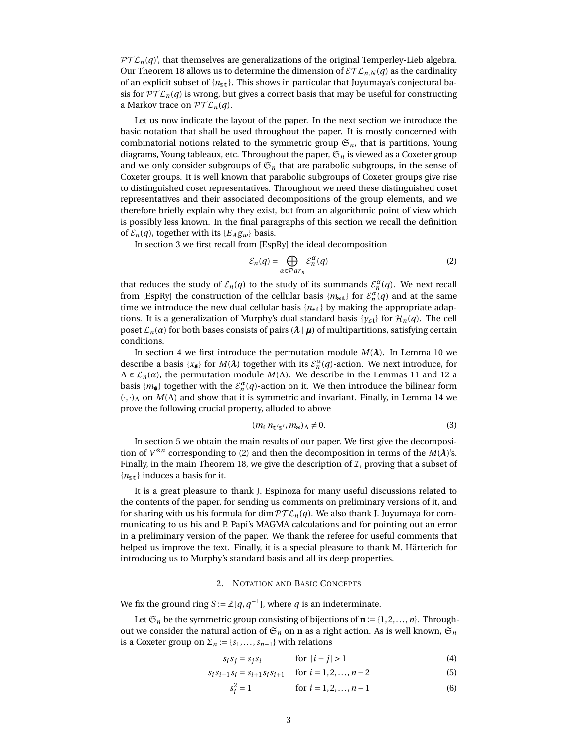$PT L_n(q)$ , that themselves are generalizations of the original Temperley-Lieb algebra. Our Theorem [18](#page-19-0) allows us to determine the dimension of  $\mathcal{ETL}_{n,N}(q)$  as the cardinality of an explicit subset of {*n*st}. This shows in particular that Juyumaya's conjectural basis for  $\mathcal{PTL}_n(q)$  is wrong, but gives a correct basis that may be useful for constructing a Markov trace on  $\mathcal{PTL}_n(q)$ .

Let us now indicate the layout of the paper. In the next section we introduce the basic notation that shall be used throughout the paper. It is mostly concerned with combinatorial notions related to the symmetric group  $\mathfrak{S}_n$ , that is partitions, Young diagrams, Young tableaux, etc. Throughout the paper,  $\mathfrak{S}_n$  is viewed as a Coxeter group and we only consider subgroups of  $\mathfrak{S}_n$  that are parabolic subgroups, in the sense of Coxeter groups. It is well known that parabolic subgroups of Coxeter groups give rise to distinguished coset representatives. Throughout we need these distinguished coset representatives and their associated decompositions of the group elements, and we therefore briefly explain why they exist, but from an algorithmic point of view which is possibly less known. In the final paragraphs of this section we recall the definition of  $\mathcal{E}_n(q)$ , together with its  $\{E_A g_w\}$  basis.

In section 3 we first recall from [\[EspRy\]](#page-21-7) the ideal decomposition

<span id="page-2-0"></span>
$$
\mathcal{E}_n(q) = \bigoplus_{\alpha \in \mathcal{P}ar_n} \mathcal{E}_n^{\alpha}(q) \tag{2}
$$

that reduces the study of  $\mathcal{E}_n(q)$  to the study of its summands  $\mathcal{E}_n^{\alpha}(q)$ . We next recall from [\[EspRy\]](#page-21-7) the construction of the cellular basis  ${m_{\text{st}}}$  for  $\mathcal{E}_n^{\alpha}(q)$  and at the same time we introduce the new dual cellular basis  ${n_{\text{st}}}$  by making the appropriate adaptions. It is a generalization of Murphy's dual standard basis {*y*<sub>st</sub>} for  $\mathcal{H}_n(q)$ . The cell poset  $\mathcal{L}_n(\alpha)$  for both bases consists of pairs  $(\lambda | \mu)$  of multipartitions, satisfying certain conditions.

In section 4 we first introduce the permutation module  $M(\lambda)$ . In Lemma [10](#page-12-0) we describe a basis  $\{x_{\sharp}\}\$  for  $M(\lambda)$  together with its  $\mathcal{E}_n^{\alpha}(q)$ -action. We next introduce, for  $\Lambda \in \mathcal{L}_n(\alpha)$ , the permutation module  $M(\Lambda)$ . We describe in the Lemmas [11](#page-13-0) and [12](#page-15-0) a basis  $\{m_{\mathbf{s}}\}$  together with the  $\mathcal{E}_n^{\alpha}(q)$ -action on it. We then introduce the bilinear form (·,·)<sup>Λ</sup> on *M*(Λ) and show that it is symmetric and invariant. Finally, in Lemma [14](#page-16-0) we prove the following crucial property, alluded to above

$$
(m_{\rm t} n_{\rm t's'}, m_{\rm s})_{\Lambda} \neq 0. \tag{3}
$$

In section 5 we obtain the main results of our paper. We first give the decomposition of  $V^{\otimes n}$  corresponding to [\(2\)](#page-2-0) and then the decomposition in terms of the  $M(\lambda)$ 's. Finally, in the main Theorem [18,](#page-19-0) we give the description of  $I$ , proving that a subset of {*n*st} induces a basis for it.

It is a great pleasure to thank J. Espinoza for many useful discussions related to the contents of the paper, for sending us comments on preliminary versions of it, and for sharing with us his formula for dim  $PTL_n(q)$ . We also thank J. Juyumaya for communicating to us his and P. Papi's MAGMA calculations and for pointing out an error in a preliminary version of the paper. We thank the referee for useful comments that helped us improve the text. Finally, it is a special pleasure to thank M. Härterich for introducing us to Murphy's standard basis and all its deep properties.

# 2. NOTATION AND BASIC CONCEPTS

We fix the ground ring *S* :=  $\mathbb{Z}[q, q^{-1}]$ , where *q* is an indeterminate.

Let  $\mathfrak{S}_n$  be the symmetric group consisting of bijections of  $\mathbf{n} := \{1, 2, ..., n\}$ . Throughout we consider the natural action of  $\mathfrak{S}_n$  on **n** as a right action. As is well known,  $\mathfrak{S}_n$ is a Coxeter group on  $\Sigma_n := \{s_1, \ldots, s_{n-1}\}\$  with relations

$$
s_i s_j = s_j s_i \qquad \text{for } |i - j| > 1 \tag{4}
$$

$$
s_i s_{i+1} s_i = s_{i+1} s_i s_{i+1} \quad \text{for } i = 1, 2, \dots, n-2
$$
 (5)

$$
s_i^2 = 1 \qquad \text{for } i = 1, 2, ..., n-1 \tag{6}
$$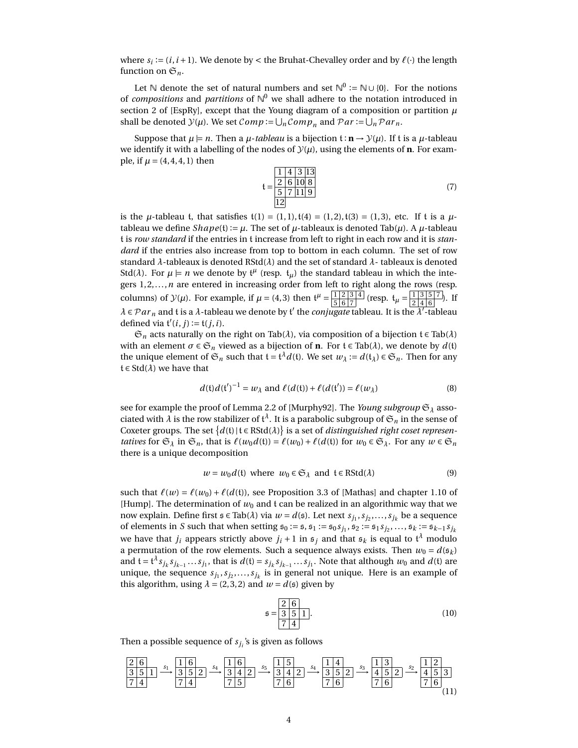where  $s_i := (i, i + 1)$ . We denote by < the Bruhat-Chevalley order and by  $\ell(\cdot)$  the length function on  $\mathfrak{S}_n$ .

Let  $\mathbb N$  denote the set of natural numbers and set  $\mathbb N^0 := \mathbb N \cup \{0\}$ . For the notions of *compositions* and *partitions* of N <sup>0</sup> we shall adhere to the notation introduced in section 2 of [\[EspRy\]](#page-21-7), except that the Young diagram of a composition or partition  $\mu$ shall be denoted  $\mathcal{Y}(\mu)$ . We set  $Comp := \bigcup_n Comp_n$  and  $Par := \bigcup_n Par_n$ .

Suppose that  $\mu \models n$ . Then a  $\mu$ -*tableau* is a bijection  $\mathfrak{t} : \mathbf{n} \to \mathcal{Y}(\mu)$ . If t is a  $\mu$ -tableau we identify it with a labelling of the nodes of  $\mathcal{Y}(\mu)$ , using the elements of **n**. For example, if  $\mu = (4, 4, 4, 1)$  then

$$
t = \frac{\frac{1}{2} \cdot \frac{4}{6} \cdot \frac{3}{13}}{\frac{5}{12} \cdot \frac{7}{11} \cdot \frac{9}{9}}
$$
(7)

is the *µ*-tableau t, that satisfies  $t(1) = (1, 1)$ ,  $t(4) = (1, 2)$ ,  $t(3) = (1, 3)$ , etc. If t is a *µ*tableau we define  $Shape(t) := \mu$ . The set of  $\mu$ -tableaux is denoted Tab( $\mu$ ). A  $\mu$ -tableau t is *row standard* if the entries in t increase from left to right in each row and it is *standard* if the entries also increase from top to bottom in each column. The set of row standard *λ*-tableaux is denoted RStd(*λ*) and the set of standard *λ*- tableaux is denoted Std( $\lambda$ ). For  $\mu \models n$  we denote by  $t^{\mu}$  (resp.  $t_{\mu}$ ) the standard tableau in which the integers  $1, 2, ..., n$  are entered in increasing order from left to right along the rows (resp. columns) of  $\mathcal{Y}(\mu)$ . For example, if  $\mu = (4,3)$  then  $\mathfrak{t}^{\mu} = \frac{|1| \cdot 2 \cdot 3}{|5| \cdot 6 \cdot 7|}$  $\frac{1}{5} \frac{2}{6} \frac{3}{7}$  (resp.  $t_{\mu} = \frac{1}{2} \frac{3}{4} \frac{5}{6} \frac{7}{7}$  $\frac{1}{2}$   $\frac{3}{4}$   $\frac{3}{6}$   $\binom{7}{1}$ . If  $\lambda \in \mathcal{P}ar_n$  and t is a  $\lambda$ -tableau we denote by t' the *conjugate* tableau. It is the  $\lambda'$ -tableau defined via  $\mathfrak{t}'(i,j) := \mathfrak{t}(j,i)$ .

 $\mathfrak{S}_n$  acts naturally on the right on Tab( $\lambda$ ), via composition of a bijection  $\mathfrak{t} \in \text{Tab}(\lambda)$ with an element  $\sigma \in \mathfrak{S}_n$  viewed as a bijection of **n**. For  $\mathfrak{t} \in \text{Tab}(\lambda)$ , we denote by  $d(\mathfrak{t})$ the unique element of  $\mathfrak{S}_n$  such that  $\mathfrak{t} = \mathfrak{t}^{\lambda}d(\mathfrak{t}).$  We set  $w_{\lambda} := d(\mathfrak{t}_{\lambda}) \in \mathfrak{S}_n.$  Then for any  $t \in \text{Std}(\lambda)$  we have that

<span id="page-3-2"></span>
$$
d(\mathfrak{t})d(\mathfrak{t}')^{-1} = w_{\lambda} \text{ and } \ell(d(\mathfrak{t})) + \ell(d(\mathfrak{t}')) = \ell(w_{\lambda})
$$
\n(8)

see for example the proof of Lemma 2.2 of [\[Murphy92\]](#page-22-5). The *Young subgroup*  $\mathfrak{S}_{\lambda}$  associated with  $\lambda$  is the row stabilizer of  $\mathfrak{t}^\lambda.$  It is a parabolic subgroup of  $\mathfrak{S}_n$  in the sense of Coxeter groups. The set  $\{d(t) | t \in \text{RStd}(\lambda)\}$  is a set of *distinguished right coset representatives* for  $\mathfrak{S}_\lambda$  in  $\mathfrak{S}_n$ , that is  $\ell(w_0 d(\mathfrak{t})) = \ell(w_0) + \ell(d(\mathfrak{t}))$  for  $w_0 \in \mathfrak{S}_\lambda$ . For any  $w \in \mathfrak{S}_n$ there is a unique decomposition

<span id="page-3-1"></span>
$$
w = w_0 d(\mathfrak{t}) \text{ where } w_0 \in \mathfrak{S}_{\lambda} \text{ and } \mathfrak{t} \in \text{RStd}(\lambda)
$$
 (9)

such that  $\ell(w) = \ell(w_0) + \ell(d(\mathfrak{t}))$ , see Proposition 3.3 of [\[Mathas\]](#page-22-6) and chapter 1.10 of [\[Hump\]](#page-21-12). The determination of  $w_0$  and  $t$  can be realized in an algorithmic way that we now explain. Define first  $\mathfrak{s} \in \text{Tab}(\lambda)$  via  $w = d(\mathfrak{s})$ . Let next  $s_{j_1}, s_{j_2}, \ldots, s_{j_k}$  be a sequence of elements in *S* such that when setting  $s_0 := s$ ,  $s_1 := s_0 s_{j_1}$ ,  $s_2 := s_1 s_{j_2}$ , ...,  $s_k := s_{k-1} s_{j_k}$ we have that  $j_i$  appears strictly above  $j_i+1$  in  ${\mathfrak s}_j$  and that  ${\mathfrak s}_k$  is equal to  ${\mathfrak t}^\lambda$  modulo a permutation of the row elements. Such a sequence always exists. Then  $w_0 = d(s_k)$ and  $\mathfrak{t}=\mathfrak{t}^{\lambda}s_{j_k}s_{j_{k-1}}\ldots s_{j_1}$ , that is  $d(\mathfrak{t})=s_{j_k}s_{j_{k-1}}\ldots s_{j_1}.$  Note that although  $w_0$  and  $d(\mathfrak{t})$  are unique, the sequence  $s_{j_1}, s_{j_2}, \ldots, s_{j_k}$  is in general not unique. Here is an example of this algorithm, using  $\lambda = (2, 3, 2)$  and  $w = d(\mathfrak{s})$  given by

$$
\mathfrak{s} = \frac{2 \ 6}{3 \ 5 \ 1}.
$$
\n<sup>(10)</sup>

Then a possible sequence of *sj<sup>i</sup>* 's is given as follows

<span id="page-3-0"></span>
$$
\frac{26}{351} \xrightarrow{s_1} \frac{16}{352} \xrightarrow{s_4} \frac{16}{342} \xrightarrow{s_5} \frac{15}{342} \xrightarrow{s_4} \frac{14}{352} \xrightarrow{s_3} \frac{13}{452} \xrightarrow{s_2} \frac{12}{453}
$$
  
74 (11)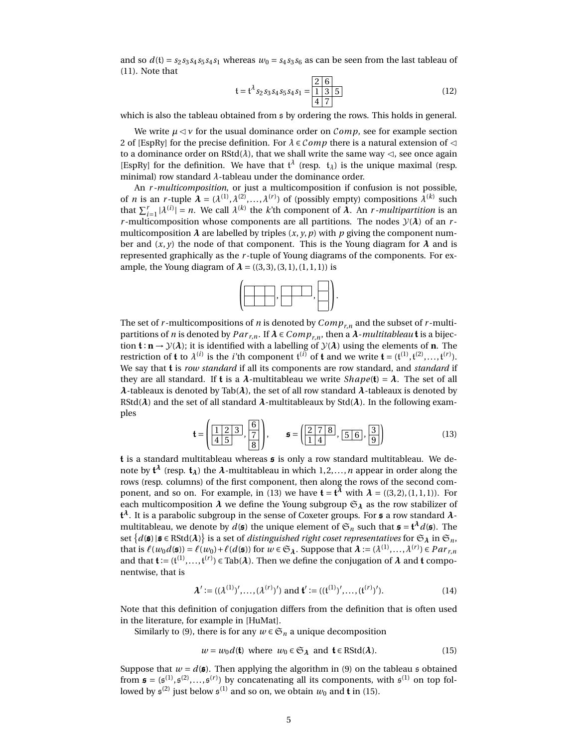and so  $d(t) = s_2 s_3 s_4 s_5 s_4 s_1$  whereas  $w_0 = s_4 s_3 s_6$  as can be seen from the last tableau of [\(11\)](#page-3-0). Note that

$$
\mathfrak{t} = \mathfrak{t}^{\lambda} s_2 s_3 s_4 s_5 s_4 s_1 = \frac{2}{1} \frac{6}{1} \frac{3}{3} \frac{5}{5}
$$
 (12)

which is also the tableau obtained from s by ordering the rows. This holds in general.

We write  $\mu \lhd \nu$  for the usual dominance order on *Comp*, see for example section 2 of [\[EspRy\]](#page-21-7) for the precise definition. For *λ* ∈ C*omp* there is a natural extension of C to a dominance order on RStd( $\lambda$ ), that we shall write the same way  $\triangleleft$ , see once again [\[EspRy\]](#page-21-7) for the definition. We have that  $t^{\lambda}$  (resp.  $t_{\lambda}$ ) is the unique maximal (resp. minimal) row standard *λ*-tableau under the dominance order.

An *r -multicomposition*, or just a multicomposition if confusion is not possible, of *n* is an *r*-tuple  $\lambda = (\lambda^{(1)}, \lambda^{(2)}, \ldots, \lambda^{(r)})$  of (possibly empty) compositions  $\lambda^{(k)}$  such that  $\sum_{i=1}^r |\lambda^{(i)}| = n$ . We call  $\lambda^{(k)}$  the *k*'th component of  $\lambda$ . An *r*-*multipartition* is an *r*-multicomposition whose components are all partitions. The nodes  $\mathcal{Y}(\lambda)$  of an *r*multicomposition  $\lambda$  are labelled by triples  $(x, y, p)$  with  $p$  giving the component number and  $(x, y)$  the node of that component. This is the Young diagram for  $\lambda$  and is represented graphically as the *r* -tuple of Young diagrams of the components. For example, the Young diagram of  $\lambda = ((3, 3), (3, 1), (1, 1, 1))$  is



The set of *r* -multicompositions of *n* is denoted by *Compr*,*<sup>n</sup>* and the subset of *r* -multipartitions of *n* is denoted by  $Par_{r,n}$ . If  $\lambda \in Comp_{r,n}$ , then a  $\lambda$ -*multitableau* **t** is a bijection  $\mathbf{t} : \mathbf{n} \to \mathcal{Y}(\lambda)$ ; it is identified with a labelling of  $\mathcal{Y}(\lambda)$  using the elements of **n**. The restriction of **t** to  $\lambda^{(i)}$  is the *i*'th component  $\mathfrak{t}^{(i)}$  of **t** and we write  $\mathbf{t} = (\mathfrak{t}^{(1)}, \mathfrak{t}^{(2)}, \dots, \mathfrak{t}^{(r)})$ . We say that t is *row standard* if all its components are row standard, and *standard* if they are all standard. If **t** is a  $\lambda$ -multitableau we write  $Shape(t) = \lambda$ . The set of all *λ*-tableaux is denoted by Tab(*λ*), the set of all row standard *λ*-tableaux is denoted by RStd( $\lambda$ ) and the set of all standard  $\lambda$ -multitableaux by Std( $\lambda$ ). In the following examples

<span id="page-4-0"></span>
$$
\mathbf{t} = \left(\frac{1 \mid 2 \mid 3}{4 \mid 5}, \frac{6}{8}\right), \qquad \mathbf{s} = \left(\frac{2 \mid 7 \mid 8}{1 \mid 4}, \frac{5 \mid 6}{9}\right)
$$
(13)

**t** is a standard multitableau whereas  $\boldsymbol{s}$  is only a row standard multitableau. We denote by t *<sup>λ</sup>* (resp. t*λ*) the *λ*-multitableau in which 1, 2,...,*n* appear in order along the rows (resp. columns) of the first component, then along the rows of the second com-ponent, and so on. For example, in [\(13\)](#page-4-0) we have  $\mathbf{t} = \mathbf{t}^{\lambda}$  with  $\lambda = ((3,2),(1,1,1))$ . For each multicomposition  $\lambda$  we define the Young subgroup  $\mathfrak{S}_{\lambda}$  as the row stabilizer of t *<sup>λ</sup>*. It is a parabolic subgroup in the sense of Coxeter groups. For s a row standard *λ*multitableau, we denote by  $d(\mathfrak{s})$  the unique element of  $\mathfrak{S}_n$  such that  $\mathfrak{s} = \mathfrak{t}^\lambda d(\mathfrak{s})$ . The set  $\{d(\mathfrak{s})\!\mid\!\mathfrak{s}\in\text{RStd}(\bm{\lambda})\}$  is a set of *distinguished right coset representatives* for  $\mathfrak{S}_\bm{\lambda}$  in  $\mathfrak{S}_n,$ that is  $\ell(w_0d(\mathfrak{s})) = \ell(w_0) + \ell(d(\mathfrak{s}))$  for  $w \in \mathfrak{S}_\lambda$ . Suppose that  $\lambda := (\lambda^{(1)}, \ldots, \lambda^{(r)}) \in Par_{r,n}$ and that  $\mathbf{t} := (t^{(1)},..., t^{(r)}) \in \text{Tab}(\lambda)$ . Then we define the conjugation of  $\lambda$  and  $\mathbf{t}$  componentwise, that is

$$
\lambda' := ((\lambda^{(1)})', \dots, (\lambda^{(r)})') \text{ and } \mathbf{t}' := ((\mathbf{t}^{(1)})', \dots, (\mathbf{t}^{(r)})').
$$
\n(14)

Note that this definition of conjugation differs from the definition that is often used in the literature, for example in [\[HuMat\]](#page-22-7).

Similarly to [\(9\)](#page-3-1), there is for any  $w \in \mathfrak{S}_n$  a unique decomposition

<span id="page-4-1"></span>
$$
w = w_0 d(\mathbf{t}) \text{ where } w_0 \in \mathfrak{S}_\lambda \text{ and } \mathbf{t} \in \text{RStd}(\lambda). \tag{15}
$$

Suppose that  $w = d(\boldsymbol{\mathfrak{s}})$ . Then applying the algorithm in [\(9\)](#page-3-1) on the tableau  $\boldsymbol{\mathfrak{s}}$  obtained from  $\mathfrak{s} = (\mathfrak{s}^{(1)}, \mathfrak{s}^{(2)}, \ldots, \mathfrak{s}^{(r)})$  by concatenating all its components, with  $\mathfrak{s}^{(1)}$  on top followed by  $\mathfrak{s}^{(2)}$  just below  $\mathfrak{s}^{(1)}$  and so on, we obtain  $w_0$  and  $\mathfrak{t}$  in [\(15\)](#page-4-1).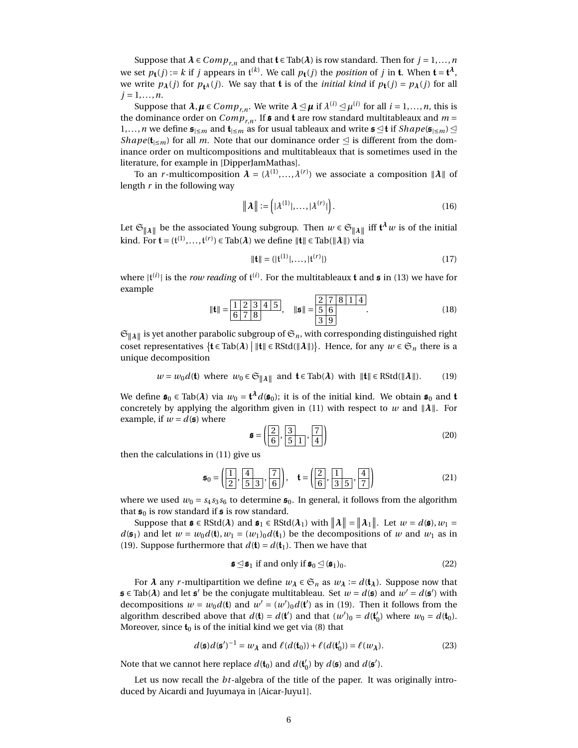Suppose that  $\lambda \in Comp_{r,n}$  and that  $\mathbf{t} \in \text{Tab}(\lambda)$  is row standard. Then for  $j = 1, ..., n$ we set  $p_{\mathbf{t}}(j) := k$  if *j* appears in  $\mathfrak{t}^{(k)}$ . We call  $p_{\mathbf{t}}(j)$  the *position* of *j* in **t**. When  $\mathbf{t} = \mathbf{t}^{\lambda}$ , we write  $p_{\lambda}(j)$  for  $p_{\lambda}(j)$ . We say that **t** is of the *initial kind* if  $p_{\lambda}(j) = p_{\lambda}(j)$  for all  $j = 1, ..., n$ .

Suppose that  $\lambda, \mu \in Comp_{r,n}.$  We write  $\lambda \unlhd \mu$  if  $\lambda^{(i)} \unlhd \mu^{(i)}$  for all  $i = 1,...,n,$  this is the dominance order on  $Comp_{r,n}$ . If **s** and **t** are row standard multitableaux and  $m =$ 1,...,*n* we define  $\mathfrak{s}_{\leq m}$  and  $\mathfrak{t}_{\leq m}$  as for usual tableaux and write  $\mathfrak{s} \trianglelefteq \mathfrak{t}$  if *Shape*( $\mathfrak{s}_{\leq m}$ )  $\trianglelefteq$ *Shape*( $t_{\leq m}$ ) for all *m*. Note that our dominance order  $\leq$  is different from the dominance order on multicompositions and multitableaux that is sometimes used in the literature, for example in [\[DipperJamMathas\]](#page-21-10).

To an *r*-multicomposition  $\bm{\lambda} = (\lambda^{(1)},...,\lambda^{(r)})$  we associate a composition  $\|\bm{\lambda}\|$  of length *r* in the following way

$$
\|\boldsymbol{\lambda}\| := \left(|\lambda^{(1)}|, \dots, |\lambda^{(r)}|\right). \tag{16}
$$

Let  $\mathfrak{S}_{\|\lambda\|}$  be the associated Young subgroup. Then  $w\in\mathfrak{S}_{\|\lambda\|}$  iff  $\mathfrak{t}^\lambda w$  is of the initial kind. For  $\mathbf{t} = (t^{(1)}, \ldots, t^{(r)}) \in \text{Tab}(\lambda)$  we define  $\|\mathbf{t}\| \in \text{Tab}(\|\lambda\|)$  via

$$
\|\mathbf{t}\| = (|\mathbf{t}^{(1)}|, \dots, |\mathbf{t}^{(r)}|) \tag{17}
$$

where  $|{\mathfrak t}^{(i)}|$  is the *row reading* of  ${\mathfrak t}^{(i)}$ . For the multitableaux **t** and **s** in [\(13\)](#page-4-0) we have for example

<sup>k</sup>tk = <sup>1</sup> <sup>2</sup> <sup>3</sup> <sup>4</sup> <sup>5</sup> 6 7 8 , ksk = 2 7 8 1 4 5 6 3 9 . (18)

 $\mathfrak{S}_{\|\pmb{\lambda}\|}$  is yet another parabolic subgroup of  $\mathfrak{S}_n$ , with corresponding distinguished right coset representatives  $\{t \in \text{Tab}(\lambda) \mid ||t|| \in \text{RStd}(||\lambda||)\}$ . Hence, for any  $w \in \mathfrak{S}_n$  there is a unique decomposition

<span id="page-5-0"></span>
$$
w = w_0 d(\mathbf{t}) \text{ where } w_0 \in \mathfrak{S}_{\|\lambda\|} \text{ and } \mathbf{t} \in \text{Tab}(\lambda) \text{ with } \|\mathbf{t}\| \in \text{RStd}(\|\lambda\|). \tag{19}
$$

We define  $\mathfrak{s}_0 \in \text{Tab}(\lambda)$  via  $w_0 = \mathfrak{t}^{\lambda}d(\mathfrak{s}_0)$ ; it is of the initial kind. We obtain  $\mathfrak{s}_0$  and  $\mathfrak{t}$ concretely by applying the algorithm given in [\(11\)](#page-3-0) with respect to *w* and  $||\lambda||$ . For example, if  $w = d(\mathfrak{s})$  where

$$
\mathfrak{s} = \left(\begin{array}{c|c}\n\boxed{2} & \boxed{3} & \boxed{7} \\
\boxed{6} & \boxed{5} & \boxed{1} & \boxed{4}\n\end{array}\right) \tag{20}
$$

then the calculations in [\(11\)](#page-3-0) give us

$$
\mathfrak{s}_0 = \left(\frac{1}{2}, \frac{4}{5 \ 3}, \frac{7}{6}\right), \quad \mathfrak{t} = \left(\frac{2}{6}, \frac{1}{3 \ 5}, \frac{4}{7}\right)
$$
 (21)

where we used  $w_0 = s_4 s_3 s_6$  to determine  $\mathfrak{s}_0$ . In general, it follows from the algorithm that  $\mathfrak{s}_0$  is row standard if  $\mathfrak{s}$  is row standard.

Suppose that  $\mathfrak{s} \in \text{RStd}(\lambda)$  and  $\mathfrak{s}_1 \in \text{RStd}(\lambda_1)$  with  $\|\lambda\| = \|\lambda_1\|$ . Let  $w = d(\mathfrak{s}), w_1 =$  $d(\mathfrak{s}_1)$  and let  $w = w_0 d(\mathfrak{t}), w_1 = (w_1)_0 d(\mathfrak{t}_1)$  be the decompositions of *w* and  $w_1$  as in [\(19\)](#page-5-0). Suppose furthermore that  $d(\mathbf{t}) = d(\mathbf{t}_1)$ . Then we have that

<span id="page-5-1"></span>
$$
\mathfrak{s} \trianglelefteq \mathfrak{s}_1 \text{ if and only if } \mathfrak{s}_0 \trianglelefteq (\mathfrak{s}_1)_0. \tag{22}
$$

For  $\lambda$  any *r*-multipartition we define  $w_{\lambda} \in \mathfrak{S}_n$  as  $w_{\lambda} := d(\mathbf{t}_{\lambda})$ . Suppose now that  $\mathfrak{s} \in \text{Tab}(\lambda)$  and let  $\mathfrak{s}'$  be the conjugate multitableau. Set  $w = d(\mathfrak{s})$  and  $w' = d(\mathfrak{s}')$  with decompositions  $w = w_0 d$ (**t**) and  $w' = (w')_0 d$ (**t**) as in [\(19\)](#page-5-0). Then it follows from the algorithm described above that  $d(\mathbf{t}) = d(\mathbf{t}')$  and that  $(w')_0 = d(\mathbf{t}'_0)$  $v_0'$ ) where  $w_0 = d(\mathbf{t}_0)$ . Moreover, since  $t_0$  is of the initial kind we get via [\(8\)](#page-3-2) that

<span id="page-5-2"></span>
$$
d(\mathfrak{s})d(\mathfrak{s}')^{-1} = w_{\lambda} \text{ and } \ell(d(\mathfrak{t}_0)) + \ell(d(\mathfrak{t}'_0)) = \ell(w_{\lambda}).
$$
 (23)

Note that we cannot here replace  $d(\mathbf{t}_0)$  and  $d(\mathbf{t}'_0)$  $Q_0$ ) by  $d(\mathfrak{s})$  and  $d(\mathfrak{s}')$ .

Let us now recall the *bt*-algebra of the title of the paper. It was originally introduced by Aicardi and Juyumaya in [\[Aicar-Juyu1\]](#page-21-0).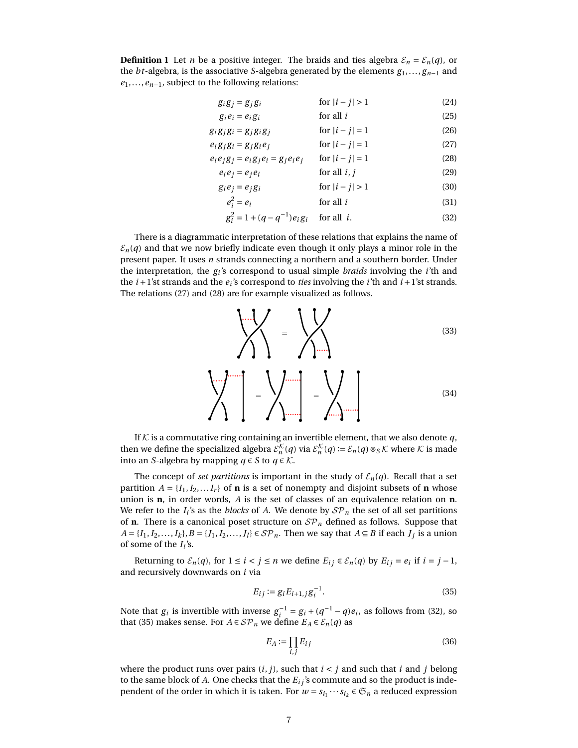**Definition 1** Let *n* be a positive integer. The braids and ties algebra  $\mathcal{E}_n = \mathcal{E}_n(q)$ , or the *bt*-algebra, is the associative *S*-algebra generated by the elements *g*1,..., *gn*−<sup>1</sup> and *e*1,...,*en*−1, subject to the following relations:

| $g_i g_j = g_j g_i$                       | for $ i - j  > 1$ | (24) |
|-------------------------------------------|-------------------|------|
| $g_i e_i = e_i g_i$                       | for all $i$       | (25) |
| $g_i g_j g_i = g_j g_i g_j$               | for $ i - j  = 1$ | (26) |
| $e_i g_j g_i = g_j g_i e_j$               | for $ i - j  = 1$ | (27) |
| $e_i e_j g_j = e_i g_j e_i = g_j e_i e_j$ | for $ i - j  = 1$ | (28) |
| $e_i e_j = e_i e_i$                       | for all $i, j$    | (29) |
| $g_i e_j = e_i g_i$                       | for $ i - j  > 1$ | (30) |
| $a^2-a$ .                                 | for all $i$       | (21) |

<span id="page-6-1"></span><span id="page-6-0"></span>
$$
e_i^2 = e_i \qquad \qquad \text{for all } i \tag{31}
$$

<span id="page-6-2"></span>
$$
g_i^2 = 1 + (q - q^{-1})e_i g_i \quad \text{for all } i.
$$
 (32)

There is a diagrammatic interpretation of these relations that explains the name of  $\mathcal{E}_n(q)$  and that we now briefly indicate even though it only plays a minor role in the present paper. It uses *n* strands connecting a northern and a southern border. Under the interpretation, the *g<sup>i</sup>* 's correspond to usual simple *braids* involving the *i*'th and the  $i + 1$ 'st strands and the  $e_i$ 's correspond to *ties* involving the  $i$ 'th and  $i + 1$ 'st strands. The relations [\(27\)](#page-6-0) and [\(28\)](#page-6-1) are for example visualized as follows.



If  $K$  is a commutative ring containing an invertible element, that we also denote  $q$ , then we define the specialized algebra  $\mathcal{E}_n^{\mathcal{K}}(q)$  via  $\mathcal{E}_n^{\mathcal{K}}(q) := \mathcal{E}_n(q) \otimes_S \mathcal{K}$  where  $\mathcal{K}$  is made into an *S*-algebra by mapping  $q \in S$  to  $q \in K$ .

The concept of *set partitions* is important in the study of  $\mathcal{E}_n(q)$ . Recall that a set partition  $A = \{I_1, I_2, \ldots, I_r\}$  of **n** is a set of nonempty and disjoint subsets of **n** whose union is **n**, in order words, *A* is the set of classes of an equivalence relation on **n**. We refer to the  $I_i$ 's as the *blocks* of A. We denote by  $\mathcal{SP}_n$  the set of all set partitions of **n**. There is a canonical poset structure on  $\mathcal{SP}_n$  defined as follows. Suppose that *A* = {*I*<sub>1</sub>, *I*<sub>2</sub>,...,*I*<sub>*k*</sub>},*B* = {*J*<sub>1</sub>, *I*<sub>2</sub>,...,*J*<sub>*l*</sub>} ∈ *S* $\mathcal{P}_n$ . Then we say that *A* ⊆ *B* if each *J*<sub>*j*</sub> is a union of some of the  $I_i$ 's.

Returning to  $\mathcal{E}_n(q)$ , for  $1 \leq i < j \leq n$  we define  $E_{ij} \in \mathcal{E}_n(q)$  by  $E_{ij} = e_i$  if  $i = j - 1$ , and recursively downwards on *i* via

<span id="page-6-3"></span>
$$
E_{ij} := g_i E_{i+1,j} g_i^{-1}.
$$
\n(35)

Note that  $g_i$  is invertible with inverse  $g_i^{-1} = g_i + (q^{-1} - q)e_i$ , as follows from [\(32\)](#page-6-2), so that [\(35\)](#page-6-3) makes sense. For  $A \in \mathcal{SP}_n$  we define  $E_A \in \mathcal{E}_n(q)$  as

<span id="page-6-4"></span>
$$
E_A := \prod_{i,j} E_{ij} \tag{36}
$$

where the product runs over pairs  $(i, j)$ , such that  $i < j$  and such that  $i$  and  $j$  belong to the same block of *A*. One checks that the *Ei j* 's commute and so the product is independent of the order in which it is taken. For  $w = s_{i_1} \cdots s_{i_k} \in \mathfrak{S}_n$  a reduced expression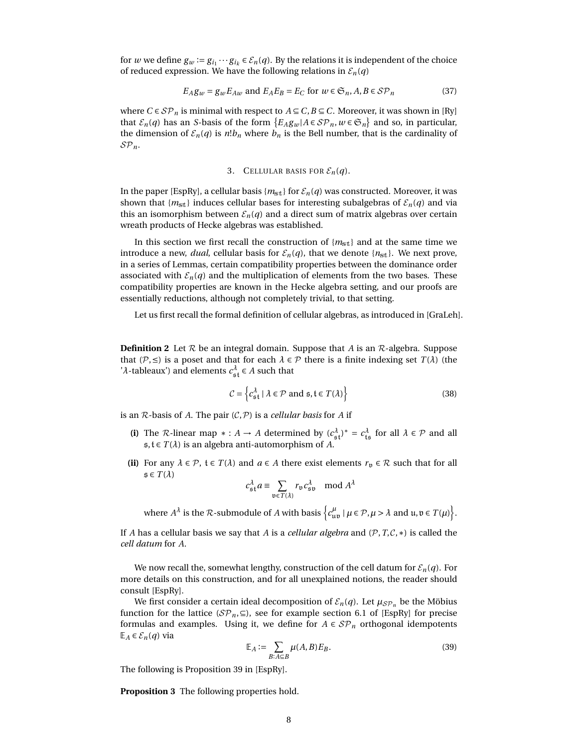for *w* we define  $g_w := g_{i_1} \cdots g_{i_k} \in \mathcal{E}_n(q)$ . By the relations it is independent of the choice of reduced expression. We have the following relations in  $\mathcal{E}_n(q)$ 

$$
E_A g_w = g_w E_{Aw} \text{ and } E_A E_B = E_C \text{ for } w \in \mathfrak{S}_n, A, B \in \mathcal{SP}_n
$$
 (37)

where *C* ∈ *S* $\mathcal{P}_n$  is minimal with respect to *A* ⊆ *C*, *B* ⊆ *C*. Moreover, it was shown in [\[Ry\]](#page-22-3) that  $\mathcal{E}_n(q)$  has an *S*-basis of the form  $\{E_A g_w | A \in \mathcal{SP}_n, w \in \mathfrak{S}_n\}$  and so, in particular, the dimension of  $\mathcal{E}_n(q)$  is  $n!b_n$  where  $b_n$  is the Bell number, that is the cardinality of SP*n*.

# 3. CELLULAR BASIS FOR  $\mathcal{E}_n(q)$ .

In the paper [\[EspRy\]](#page-21-7), a cellular basis  ${m_{\text{st}}}$  for  $\mathcal{E}_n(q)$  was constructed. Moreover, it was shown that  ${m_{st}}$  induces cellular bases for interesting subalgebras of  ${\mathcal{E}_n}(q)$  and via this an isomorphism between  $\mathcal{E}_n(q)$  and a direct sum of matrix algebras over certain wreath products of Hecke algebras was established.

In this section we first recall the construction of  ${m_{st}}$  and at the same time we introduce a new, *dual*, cellular basis for  $\mathcal{E}_n(q)$ , that we denote  $\{n_{\text{st}}\}$ . We next prove, in a series of Lemmas, certain compatibility properties between the dominance order associated with  $\mathcal{E}_n(q)$  and the multiplication of elements from the two bases. These compatibility properties are known in the Hecke algebra setting, and our proofs are essentially reductions, although not completely trivial, to that setting.

<span id="page-7-0"></span>Let us first recall the formal definition of cellular algebras, as introduced in [\[GraLeh\]](#page-21-13).

**Definition 2** Let  $R$  be an integral domain. Suppose that *A* is an  $R$ -algebra. Suppose that  $(P, \leq)$  is a poset and that for each  $\lambda \in \mathcal{P}$  there is a finite indexing set  $T(\lambda)$  (the ' $λ$ -tableaux') and elements  $c_{\mathfrak{s} \mathfrak{t}}^{\lambda} \in A$  such that

$$
C = \left\{ c_{\mathfrak{s}t}^{\lambda} \mid \lambda \in \mathcal{P} \text{ and } \mathfrak{s}, t \in T(\lambda) \right\}
$$
 (38)

is an  $R$ -basis of  $A$ . The pair  $(C, P)$  is a *cellular basis* for  $A$  if

- (i) The R-linear map  $* : A \to A$  determined by  $(c_{\mathfrak{s}t}^{\lambda})^* = c_{\mathfrak{t}\mathfrak{s}}^{\lambda}$  for all  $\lambda \in \mathcal{P}$  and all s,t ∈ *T* (*λ*) is an algebra anti-automorphism of *A*.
- **(ii)** For any  $\lambda \in \mathcal{P}$ ,  $t \in T(\lambda)$  and  $a \in A$  there exist elements  $r_v \in \mathcal{R}$  such that for all  $\mathfrak{s} \in T(\lambda)$

$$
c_{\mathfrak{s}\mathfrak{t}}^{\lambda} a \equiv \sum_{\mathfrak{v}\in T(\lambda)} r_{\mathfrak{v}} c_{\mathfrak{s}\mathfrak{v}}^{\lambda} \mod A^{\lambda}
$$

where  $A^{\lambda}$  is the  $\mathcal{R}$ -submodule of  $A$  with basis  $\left\{c^{\mu}_{\mathfrak{u}\mathfrak{v}} \mid \mu \in \mathcal{P}, \mu > \lambda \text{ and } \mathfrak{u}, \mathfrak{v} \in T(\mu)\right\}.$ 

If *A* has a cellular basis we say that *A* is a *cellular algebra* and (P,*T*,C,∗) is called the *cell datum* for *A*.

We now recall the, somewhat lengthy, construction of the cell datum for  $\mathcal{E}_n(q)$ . For more details on this construction, and for all unexplained notions, the reader should consult [\[EspRy\]](#page-21-7).

We first consider a certain ideal decomposition of  $\mathcal{E}_n(q)$ . Let  $\mu_{\mathcal{SP}_n}$  be the Möbius function for the lattice ( $\mathcal{SP}_n \subseteq$ ), see for example section 6.1 of [\[EspRy\]](#page-21-7) for precise formulas and examples. Using it, we define for  $A \in \mathcal{SP}_n$  orthogonal idempotents E*<sup>A</sup>* ∈ E*n*(*q*) via

<span id="page-7-2"></span><span id="page-7-1"></span>
$$
\mathbb{E}_A := \sum_{B:A \subseteq B} \mu(A,B) E_B. \tag{39}
$$

The following is Proposition 39 in [\[EspRy\]](#page-21-7).

**Proposition 3** The following properties hold.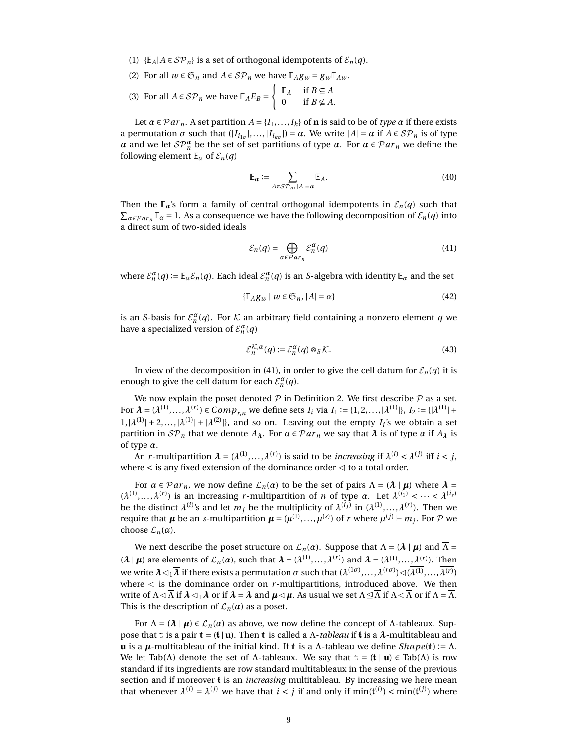- (1)  $\{E_A | A \in \mathcal{SP}_n\}$  is a set of orthogonal idempotents of  $\mathcal{E}_n(q)$ .
- (2) For all  $w \in \mathfrak{S}_n$  and  $A \in \mathcal{SP}_n$  we have  $\mathbb{E}_A g_w = g_w \mathbb{E}_{Aw}$ .

(3) For all 
$$
A \in \mathcal{SP}_n
$$
 we have  $\mathbb{E}_A E_B = \begin{cases} \mathbb{E}_A & \text{if } B \subseteq A \\ 0 & \text{if } B \nsubseteq A. \end{cases}$ 

Let  $\alpha \in \mathcal{P}ar_n$ . A set partition  $A = \{I_1, \ldots, I_k\}$  of **n** is said to be of *type*  $\alpha$  if there exists a permutation  $\sigma$  such that  $(|I_{i_{1\sigma}}|,...,|I_{i_{k\sigma}}|) = \alpha$ . We write  $|A| = \alpha$  if  $A \in \mathcal{SP}_n$  is of type *α* and we let  $\mathcal{SP}_{n}^{\alpha}$  be the set of set partitions of type *α*. For  $\alpha \in \mathcal{P}ar_{n}$  we define the following element  $\mathbb{E}_{\alpha}$  of  $\mathcal{E}_{n}(q)$ 

$$
\mathbb{E}_{\alpha} := \sum_{A \in \mathcal{SP}_n, |A| = \alpha} \mathbb{E}_A.
$$
 (40)

Then the  $\mathbb{E}_{\alpha}$ 's form a family of central orthogonal idempotents in  $\mathcal{E}_n(q)$  such that  $\sum_{\alpha \in \mathcal{P}ar_n} \mathbb{E}_{\alpha} = 1$ . As a consequence we have the following decomposition of  $\mathcal{E}_n(q)$  into a direct sum of two-sided ideals

<span id="page-8-0"></span>
$$
\mathcal{E}_n(q) = \bigoplus_{\alpha \in \mathcal{P}ar_n} \mathcal{E}_n^{\alpha}(q) \tag{41}
$$

where  $\mathcal{E}_n^{\alpha}(q) := \mathbb{E}_{\alpha} \mathcal{E}_n(q)$ . Each ideal  $\mathcal{E}_n^{\alpha}(q)$  is an *S*-algebra with identity  $\mathbb{E}_{\alpha}$  and the set

<span id="page-8-1"></span>
$$
\{\mathbb{E}_A g_w \mid w \in \mathfrak{S}_n, |A| = \alpha\} \tag{42}
$$

is an *S*-basis for  $\mathcal{E}_n^{\alpha}(q)$ . For  $K$  an arbitrary field containing a nonzero element  $q$  we have a specialized version of  $\mathcal{E}_n^{\alpha}(q)$ 

$$
\mathcal{E}_n^{\mathcal{K},\alpha}(q) := \mathcal{E}_n^{\alpha}(q) \otimes_S \mathcal{K}.\tag{43}
$$

In view of the decomposition in [\(41\)](#page-8-0), in order to give the cell datum for  $\mathcal{E}_n(q)$  it is enough to give the cell datum for each  $\mathcal{E}_n^{\alpha}(q)$ .

We now explain the poset denoted  $P$  in Definition [2.](#page-7-0) We first describe  $P$  as a set. For  $\lambda = (\lambda^{(1)}, ..., \lambda^{(r)}) \in Comp_{r,n}$  we define sets  $I_i$  via  $I_1 := \{1, 2, ..., |\lambda^{(1)}|\}, I_2 := \{|\lambda^{(1)}| +$  $1, |\lambda^{(1)}| + 2, \ldots, |\lambda^{(1)}| + |\lambda^{(2)}|$ , and so on. Leaving out the empty  $I_i$ 's we obtain a set partition in  $\mathcal{SP}_n$  that we denote  $A_\lambda$ . For  $\alpha \in \mathcal{P}ar_n$  we say that  $\lambda$  is of type  $\alpha$  if  $A_\lambda$  is of type *α*.

An *r*-multipartition  $\boldsymbol{\lambda} = (\lambda^{(1)}, \ldots, \lambda^{(r)})$  is said to be *increasing* if  $\lambda^{(i)} < \lambda^{(j)}$  iff  $i < j$ , where  $\lt$  is any fixed extension of the dominance order  $\lt$  to a total order.

For  $\alpha \in \mathcal{P}ar_n$ , we now define  $\mathcal{L}_n(\alpha)$  to be the set of pairs  $\Lambda = (\lambda | \mu)$  where  $\lambda =$  $(\lambda^{(1)},...,\lambda^{(r)})$  is an increasing *r*-multipartition of *n* of type *α*. Let  $\lambda^{(i_1)} < \cdots < \lambda^{(i_s)}$ be the distinct  $\lambda^{(i)}$ 's and let  $m_j$  be the multiplicity of  $\lambda^{(i_j)}$  in  $(\lambda^{(1)},...,\lambda^{(r)})$ . Then we require that  $\pmb{\mu}$  be an *s*-multipartition  $\pmb{\mu} = (\mu^{(1)},...,\mu^{(s)})$  of  $r$  where  $\mu^{(j)} \vdash m_j.$  For  ${\mathcal P}$  we choose  $\mathcal{L}_n(\alpha)$ .

We next describe the poset structure on  $\mathcal{L}_n(\alpha)$ . Suppose that  $\Lambda = (\lambda | \mu)$  and  $\overline{\Lambda} =$  $(\overline{\lambda} \mid \overline{\mu})$  are elements of  $\mathcal{L}_n(\alpha)$ , such that  $\lambda = (\lambda^{(1)}, \ldots, \lambda^{(r)})$  and  $\overline{\lambda} = (\lambda^{(1)}, \ldots, \lambda^{(r)})$ . Then we write  $\pmb{\lambda} \lhd_1 \overline{\pmb{\lambda}}$  if there exists a permutation  $\sigma$  such that  $(\lambda^{(1\sigma)},...,\lambda^{(r\sigma)})$   $\lhd (\overline{\lambda^{(1)}},...,\overline{\lambda^{(r)}})$ where  $\triangleleft$  is the dominance order on *r*-multipartitions, introduced above. We then write of  $\Lambda \triangleleft \Lambda$  if  $\lambda \triangleleft \Lambda$  or if  $\lambda = \lambda$  and  $\mu \triangleleft \overline{\mu}$ . As usual we set  $\Lambda \triangleleft \Lambda$  if  $\Lambda \triangleleft \Lambda$  or if  $\Lambda = \Lambda$ . This is the description of  $\mathcal{L}_n(\alpha)$  as a poset.

For  $\Lambda = (\lambda | \mu) \in \mathcal{L}_n(\alpha)$  as above, we now define the concept of  $\Lambda$ -tableaux. Suppose that t is a pair  $t = (t | u)$ . Then t is called a *Λ-tableau* if **t** is a *λ*-multitableau and **u** is a *µ*-multitableau of the initial kind. If t is a Λ-tableau we define *Shape*(t) := Λ. We let Tab( $\Lambda$ ) denote the set of  $\Lambda$ -tableaux. We say that  $t = (t | u) \in \text{Tab}(\Lambda)$  is row standard if its ingredients are row standard multitableaux in the sense of the previous section and if moreover t is an *increasing* multitableau. By increasing we here mean that whenever  $\lambda^{(i)} = \lambda^{(j)}$  we have that  $i < j$  if and only if  $\min(\mathfrak{t}^{(i)}) < \min(\mathfrak{t}^{(j)})$  where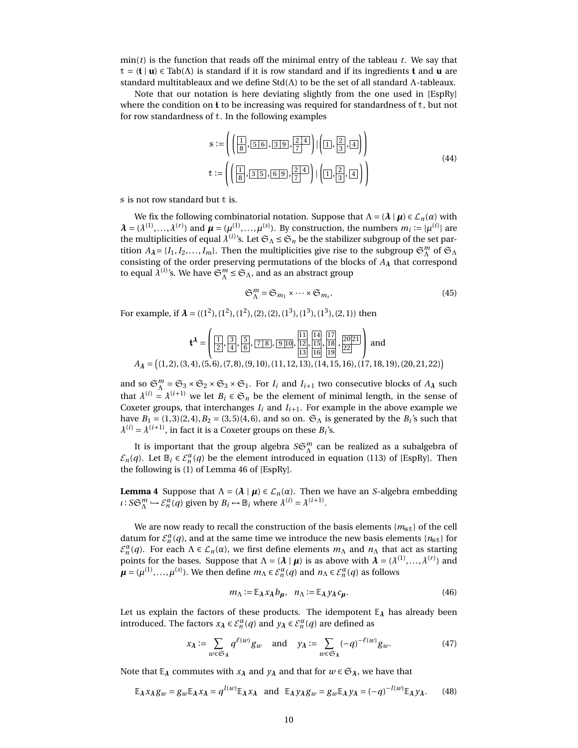$\min(t)$  is the function that reads off the minimal entry of the tableau *t*. We say that t = (t | **u**) ∈ Tab(Λ) is standard if it is row standard and if its ingredients t and **u** are standard multitableaux and we define Std(Λ) to be the set of all standard Λ-tableaux.

Note that our notation is here deviating slightly from the one used in [\[EspRy\]](#page-21-7) where the condition on  $t$  to be increasing was required for standardness of  $t$ , but not for row standardness of t. In the following examples

$$
s := \left( \left( \frac{1}{8}, \frac{5}{5} \cdot 6, \frac{3}{9}, \frac{2}{7} \cdot 4 \right) \mid \left( \frac{1}{1}, \frac{2}{3}, \frac{4}{4} \right) \right)
$$
  

$$
t := \left( \left( \frac{1}{8}, \frac{3}{5}, \frac{5}{9}, \frac{2}{7} \cdot 4 \right) \mid \left( \frac{2}{3}, \frac{2}{3}, \frac{4}{4} \right) \right)
$$
(44)

s is not row standard but t is.

We fix the following combinatorial notation. Suppose that  $\Lambda = (\lambda | \mu) \in \mathcal{L}_n(\alpha)$  with  $\lambda = (\lambda^{(1)}, \ldots, \lambda^{(r)})$  and  $\mu = (\mu^{(1)}, \ldots, \mu^{(s)})$ . By construction, the numbers  $m_i := |\mu^{(i)}|$  are the multiplicities of equal  $\lambda^{(i)}$ 's. Let  $\mathfrak{S}_\Lambda\leq \mathfrak{S}_n$  be the stabilizer subgroup of the set partition  $A_{\lambda} = \{I_1, I_2, \dots, I_m\}$ . Then the multiplicities give rise to the subgroup  $\mathfrak{S}_{\Lambda}^m$  of  $\mathfrak{S}_{\Lambda}$ consisting of the order preserving permutations of the blocks of *A<sup>λ</sup>* that correspond to equal  $\lambda^{(i)}$ 's. We have  $\mathfrak{S}_{\Lambda}^m \leq \mathfrak{S}_{\Lambda}$ , and as an abstract group

<span id="page-9-1"></span>
$$
\mathfrak{S}_{\Lambda}^{m} = \mathfrak{S}_{m_1} \times \cdots \times \mathfrak{S}_{m_s}.
$$
\n(45)

For example, if  $\lambda = ((1^2), (1^2), (1^2), (2), (2), (1^3), (1^3), (1^3), (2, 1))$  then

$$
\mathbf{t}^{\lambda} = \left( \begin{array}{c} 1 \\ 2 \end{array}, \frac{3}{4}, \frac{5}{6}, \frac{7}{8}, \frac{9}{10}, \frac{11}{12}, \frac{14}{15}, \frac{17}{18}, \frac{20}{21} \end{array} \right) \text{ and }
$$
  
\n
$$
A_{\lambda} = \left( (1, 2), (3, 4), (5, 6), (7, 8), (9, 10), (11, 12, 13), (14, 15, 16), (17, 18, 19), (20, 21, 22) \right)
$$

and so  $\mathfrak{S}_{\Lambda}^{m} = \mathfrak{S}_{3} \times \mathfrak{S}_{2} \times \mathfrak{S}_{3} \times \mathfrak{S}_{1}$ . For  $I_{i}$  and  $I_{i+1}$  two consecutive blocks of  $A_{\lambda}$  such that  $\lambda^{(i)} = \lambda^{(i+1)}$  we let  $B_i \in \mathfrak{S}_n$  be the element of minimal length, in the sense of Coxeter groups, that interchanges  $I_i$  and  $I_{i+1}$ . For example in the above example we have  $B_1 = (1, 3)(2, 4)$ ,  $B_2 = (3, 5)(4, 6)$ , and so on.  $\mathfrak{S}_{\Lambda}$  is generated by the  $B_i$ 's such that  $\lambda^{(i)} = \lambda^{(i+1)}$ , in fact it is a Coxeter groups on these  $B_i$ 's.

It is important that the group algebra  $S\mathfrak{S}_\Lambda^m$  can be realized as a subalgebra of  $\mathcal{E}_n(q)$ . Let  $\mathbb{B}_i \in \mathcal{E}_n^{\alpha}(q)$  be the element introduced in equation (113) of [\[EspRy\]](#page-21-7). Then the following is (1) of Lemma 46 of [\[EspRy\]](#page-21-7).

<span id="page-9-2"></span>**Lemma 4** Suppose that  $\Lambda = (\lambda | \mu) \in \mathcal{L}_n(\alpha)$ . Then we have an *S*-algebra embedding  $\iota$ : *S* $\mathfrak{S}_{\Lambda}^{m} \hookrightarrow \mathcal{E}_{n}^{\alpha}(q)$  given by  $B_{i} \mapsto \mathbb{B}_{i}$  where  $\lambda^{(i)} = \lambda^{(i+1)}$ .

We are now ready to recall the construction of the basis elements  ${m_{\text{st}}}$  of the cell datum for  $\mathcal{E}_n^{\alpha}(q)$ , and at the same time we introduce the new basis elements  $\{n_{\text{st}}\}$  for  $\mathcal{E}_n^{\alpha}(q)$ . For each  $\Lambda \in \mathcal{L}_n(\alpha)$ , we first define elements  $m_\Lambda$  and  $n_\Lambda$  that act as starting points for the bases. Suppose that  $\Lambda = (\lambda | \mu)$  is as above with  $\lambda = (\lambda^{(1)}, \ldots, \lambda^{(r)})$  and  $\mu = (\mu^{(1)}, \dots, \mu^{(s)})$ . We then define  $m_\Lambda \in \mathcal{E}_n^{\alpha}(q)$  and  $n_\Lambda \in \mathcal{E}_n^{\alpha}(q)$  as follows

$$
m_{\Lambda} := \mathbb{E}_{\lambda} x_{\lambda} b_{\mu}, \quad n_{\Lambda} := \mathbb{E}_{\lambda} y_{\lambda} c_{\mu}.
$$
 (46)

Let us explain the factors of these products. The idempotent E*<sup>λ</sup>* has already been introduced. The factors  $x_{\lambda} \in \mathcal{E}_n^{\alpha}(q)$  and  $y_{\lambda} \in \mathcal{E}_n^{\alpha}(q)$  are defined as

<span id="page-9-0"></span>
$$
x_{\lambda} := \sum_{w \in \mathfrak{S}_{\lambda}} q^{\ell(w)} g_w \quad \text{and} \quad y_{\lambda} := \sum_{w \in \mathfrak{S}_{\lambda}} (-q)^{-\ell(w)} g_w. \tag{47}
$$

Note that  $\mathbb{E}_{\lambda}$  commutes with  $x_{\lambda}$  and  $y_{\lambda}$  and that for  $w \in \mathfrak{S}_{\lambda}$ , we have that

<span id="page-9-3"></span>
$$
\mathbb{E}_{\lambda} x_{\lambda} g_w = g_w \mathbb{E}_{\lambda} x_{\lambda} = q^{l(w)} \mathbb{E}_{\lambda} x_{\lambda} \text{ and } \mathbb{E}_{\lambda} y_{\lambda} g_w = g_w \mathbb{E}_{\lambda} y_{\lambda} = (-q)^{-l(w)} \mathbb{E}_{\lambda} y_{\lambda}. \tag{48}
$$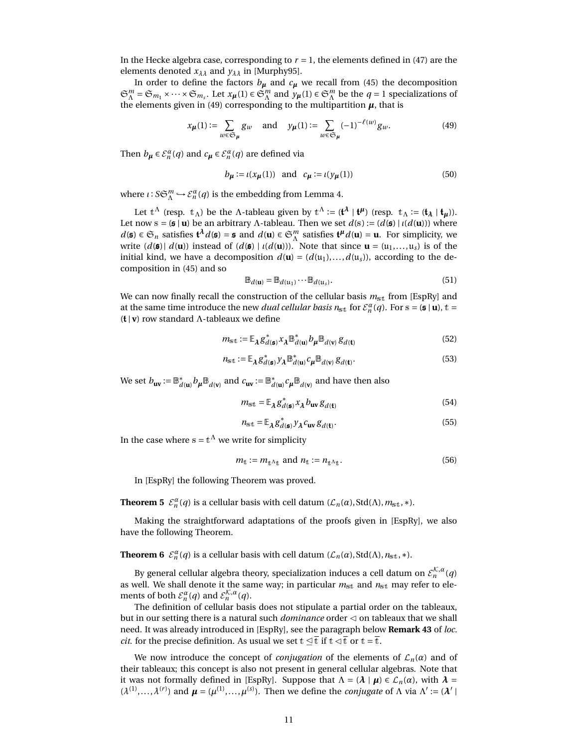In the Hecke algebra case, corresponding to  $r = 1$ , the elements defined in [\(47\)](#page-9-0) are the elements denoted  $x_{\lambda\lambda}$  and  $y_{\lambda\lambda}$  in [\[Murphy95\]](#page-22-8).

In order to define the factors  $b_{\mu}$  and  $c_{\mu}$  we recall from [\(45\)](#page-9-1) the decomposition  $\mathfrak{S}_{\Lambda}^m = \mathfrak{S}_{m_1} \times \cdots \times \mathfrak{S}_{m_s}$ . Let  $x_{\mu}(1) \in \mathfrak{S}_{\Lambda}^m$  and  $y_{\mu}(1) \in \mathfrak{S}_{\Lambda}^m$  be the  $q = 1$  specializations of the elements given in [\(49\)](#page-10-0) corresponding to the multipartition  $\mu$ , that is

<span id="page-10-0"></span>
$$
x_{\mu}(1) := \sum_{w \in \mathfrak{S}_{\mu}} g_w \quad \text{and} \quad y_{\mu}(1) := \sum_{w \in \mathfrak{S}_{\mu}} (-1)^{-\ell(w)} g_w.
$$
 (49)

Then  $b_{\mu} \in \mathcal{E}_n^{\alpha}(q)$  and  $c_{\mu} \in \mathcal{E}_n^{\alpha}(q)$  are defined via

$$
b_{\mu} := \iota(x_{\mu}(1)) \quad \text{and} \quad c_{\mu} := \iota(y_{\mu}(1)) \tag{50}
$$

where  $\iota : S \mathfrak{S}_{\Lambda}^m \hookrightarrow \mathcal{E}_n^{\alpha}(q)$  is the embedding from Lemma [4.](#page-9-2)

Let  $t^{\Lambda}$  (resp.  $t_{\Lambda}$ ) be the  $\Lambda$ -tableau given by  $t^{\Lambda} := (\mathbf{t}^{\lambda} \mid \mathbf{t}^{\mu})$  (resp.  $t_{\Lambda} := (\mathbf{t}_{\lambda} \mid \mathbf{t}_{\mu})$ ). Let now  $s = (\mathfrak{s} \mid \mathbf{u})$  be an arbitrary Λ-tableau. Then we set  $d(s) := (d(\mathfrak{s}) \mid \iota(d(\mathbf{u})))$  where  $d(\mathbf{s}) \in \mathfrak{S}_n$  satisfies  $\mathbf{t}^{\lambda} d(\mathbf{s}) = \mathbf{s}$  and  $d(\mathbf{u}) \in \mathfrak{S}_n^m$  satisfies  $\mathbf{t}^{\mu} d(\mathbf{u}) = \mathbf{u}$ . For simplicity, we write  $(d(\mathfrak{s})|d(\mathfrak{u}))$  instead of  $(d(\mathfrak{s})|u(d(\mathfrak{u})))$ . Note that since  $\mathfrak{u} = (u_1,...,u_s)$  is of the initial kind, we have a decomposition  $d(\mathbf{u}) = (d(u_1),...,d(u_s))$ , according to the decomposition in [\(45\)](#page-9-1) and so

$$
\mathbb{B}_{d(\mathbf{u})} = \mathbb{B}_{d(\mathbf{u}_1)} \cdots \mathbb{B}_{d(\mathbf{u}_s)}.
$$
\n(51)

We can now finally recall the construction of the cellular basis  $m_{st}$  from [\[EspRy\]](#page-21-7) and at the same time introduce the new *dual cellular basis n*<sub>st</sub> for  $\mathcal{E}_n^{\alpha}(q)$ . For s = (**s** | **u**), t = (t | **v**) row standard Λ-tableaux we define

<span id="page-10-1"></span>
$$
m_{\text{st}} := \mathbb{E}_{\lambda} g_{d(\text{st})}^{*} x_{\lambda} \mathbb{B}_{d(\text{u})}^{*} b_{\mu} \mathbb{B}_{d(\text{v})} g_{d(\text{t})}
$$
(52)

<span id="page-10-2"></span>
$$
n_{\rm st} := \mathbb{E}_{\lambda} g_{d(\mathbf{s})}^* \gamma_{\lambda} \mathbb{B}_{d(\mathbf{u})}^* c_{\mu} \mathbb{B}_{d(\mathbf{v})} g_{d(\mathbf{t})}.
$$
 (53)

We set  $b_{uv} := \mathbb{B}_{d}^{*}$  $d^*(\mathbf{u}) \mathbf{b}_{\mu} \mathbb{B}_{d(\mathbf{v})}$  and  $c_{\mathbf{u}\mathbf{v}} := \mathbb{B}_d^*$  $\int_{d}^{*} (u) \, \mathcal{C}_{\boldsymbol{\mu}} \mathbb{B}_{d(\mathbf{v})}$  and have then also

$$
m_{\rm st} = \mathbb{E}_{\lambda} g_{d(\mathfrak{s})}^* x_{\lambda} b_{\rm uv} g_{d(\mathfrak{t})}
$$
(54)

$$
n_{\rm st} = \mathbb{E}_{\lambda} g_{d(\mathfrak{s})}^* y_{\lambda} c_{\rm uv} g_{d(\mathfrak{t})}. \tag{55}
$$

In the case where  $s = t^{\Lambda}$  we write for simplicity

<span id="page-10-3"></span>
$$
m_{\mathbf{t}} := m_{\mathbf{t}^{\Lambda} \mathbf{t}} \text{ and } n_{\mathbf{t}} := n_{\mathbf{t}^{\Lambda} \mathbf{t}}.
$$
 (56)

In [\[EspRy\]](#page-21-7) the following Theorem was proved.

**Theorem 5**  $\mathcal{E}_n^{\alpha}(q)$  is a cellular basis with cell datum  $(\mathcal{L}_n(\alpha), \text{Std}(\Lambda), m_{\text{st}}, *)$ .

Making the straightforward adaptations of the proofs given in [\[EspRy\]](#page-21-7), we also have the following Theorem.

**Theorem 6**  $\mathcal{E}_n^{\alpha}(q)$  is a cellular basis with cell datum  $(\mathcal{L}_n(\alpha), \text{Std}(\Lambda), n_{\text{st}}, *)$ .

By general cellular algebra theory, specialization induces a cell datum on  $\mathcal{E}_n^{\mathcal{K},\alpha}(q)$ as well. We shall denote it the same way; in particular  $m_{st}$  and  $n_{st}$  may refer to elements of both  $\mathcal{E}_n^{\alpha}(q)$  and  $\mathcal{E}_n^{\mathcal{K},\alpha}(q)$ .

The definition of cellular basis does not stipulate a partial order on the tableaux, but in our setting there is a natural such *dominance* order  $\triangleleft$  on tableaux that we shall need. It was already introduced in [\[EspRy\]](#page-21-7), see the paragraph below **Remark 43** of *loc. cit.* for the precise definition. As usual we set  $t \leq \overline{t}$  if  $t < \overline{t}$  or  $t = \overline{t}$ .

We now introduce the concept of *conjugation* of the elements of  $\mathcal{L}_n(\alpha)$  and of their tableaux; this concept is also not present in general cellular algebras. Note that it was not formally defined in [\[EspRy\]](#page-21-7). Suppose that  $\Lambda = (\lambda | \mu) \in \mathcal{L}_n(\alpha)$ , with  $\lambda =$  $(\lambda^{(1)},...,\lambda^{(r)})$  and  $\mu = (\mu^{(1)},...,\mu^{(s)})$ . Then we define the *conjugate* of  $\Lambda$  via  $\Lambda' := (\lambda')$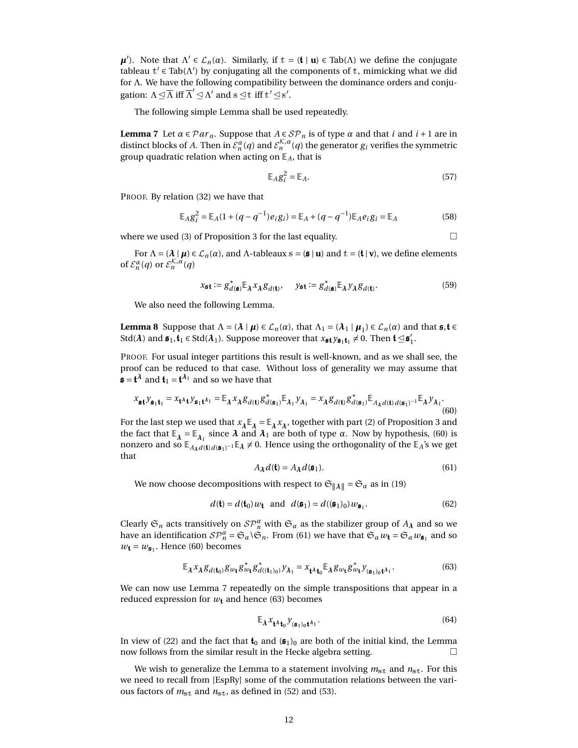*µ*<sup> $\ell$ </sup>). Note that Λ<sup> $\ell$ </sup> ∈  $\mathcal{L}_n(\alpha)$ . Similarly, if t = (**t** | **u**) ∈ Tab(Λ) we define the conjugate tableau  $t' \in \text{Tab}(\Lambda')$  by conjugating all the components of t, mimicking what we did for Λ. We have the following compatibility between the dominance orders and conjugation:  $\Lambda \trianglelefteq \overline{\Lambda}$  iff  $\overline{\Lambda}' \trianglelefteq \Lambda'$  and  $s \trianglelefteq t$  iff  $t' \trianglelefteq s'$ .

The following simple Lemma shall be used repeatedly.

**Lemma 7** Let  $\alpha \in \mathcal{P}ar_n$ . Suppose that  $A \in \mathcal{SP}_n$  is of type  $\alpha$  and that *i* and *i* + 1 are in distinct blocks of *A*. Then in  $\mathcal{E}_n^{\alpha}(q)$  and  $\mathcal{E}_n^{\mathcal{K},\alpha}(q)$  the generator  $g_i$  verifies the symmetric group quadratic relation when acting on  $E_A$ , that is

<span id="page-11-2"></span>
$$
\mathbb{E}_A g_i^2 = \mathbb{E}_A. \tag{57}
$$

PROOF. By relation [\(32\)](#page-6-2) we have that

$$
\mathbb{E}_A g_i^2 = \mathbb{E}_A (1 + (q - q^{-1}) e_i g_i) = \mathbb{E}_A + (q - q^{-1}) \mathbb{E}_A e_i g_i = \mathbb{E}_A
$$
\n(58)

where we used (3) of Proposition [3](#page-7-1) for the last equality.  $\Box$ 

For  $\Lambda = (\lambda | \mu) \in \mathcal{L}_n(\alpha)$ , and  $\Lambda$ -tableaux s =  $(\mathfrak{s} | \mathbf{u})$  and  $\mathbf{t} = (\mathbf{t} | \mathbf{v})$ , we define elements of  $\mathcal{E}_n^{\alpha}(q)$  or  $\mathcal{E}_n^{\mathcal{K},\alpha}(q)$ 

<span id="page-11-4"></span>
$$
x_{\mathbf{5}\mathbf{t}} := g_{d(\mathbf{s})}^* \mathbb{E}_{\lambda} x_{\lambda} g_{d(\mathbf{t})}, \quad y_{\mathbf{5}\mathbf{t}} := g_{d(\mathbf{s})}^* \mathbb{E}_{\lambda} y_{\lambda} g_{d(\mathbf{t})}. \tag{59}
$$

We also need the following Lemma.

**Lemma 8** Suppose that  $\Lambda = (\lambda \mid \mu) \in \mathcal{L}_n(\alpha)$ , that  $\Lambda_1 = (\lambda_1 \mid \mu_1) \in \mathcal{L}_n(\alpha)$  and that  $\mathfrak{s}, \mathfrak{t} \in$ Std( $\lambda$ ) and  $\mathfrak{s}_1, \mathfrak{t}_1 \in \text{Std}(\lambda_1)$ . Suppose moreover that  $x_{\mathfrak{s} \mathfrak{t}} y_{\mathfrak{s}_1 \mathfrak{t}_1} \neq 0$ . Then  $\mathfrak{t} \trianglelefteq \mathfrak{s}'_1$  $\frac{1}{1}$ .

PROOF. For usual integer partitions this result is well-known, and as we shall see, the proof can be reduced to that case. Without loss of generality we may assume that  $\mathfrak{s} = \mathfrak{t}^{\lambda}$  and  $\mathfrak{t}_1 = \mathfrak{t}^{\lambda_1}$  and so we have that

<span id="page-11-0"></span>
$$
x_{\mathfrak{s}\mathfrak{t}} y_{\mathfrak{s}_1 \mathfrak{t}_1} = x_{\mathfrak{t}^{\lambda} \mathfrak{t}} y_{\mathfrak{s}_1 \mathfrak{t}^{\lambda_1}} = \mathbb{E}_{\lambda} x_{\lambda} g_{d(\mathfrak{t})} g_{d(\mathfrak{s}_1)}^* \mathbb{E}_{\lambda_1} y_{\lambda_1} = x_{\lambda} g_{d(\mathfrak{t})} g_{d(\mathfrak{s}_1)}^* \mathbb{E}_{A_{\lambda} d(\mathfrak{t}) d(\mathfrak{s}_1)^{-1}} \mathbb{E}_{\lambda} y_{\lambda_1}.
$$
\n(60)

For the last step we used that  $x_\lambda \mathbb{E}_\lambda = \mathbb{E}_\lambda x_\lambda$ , together with part (2) of Proposition [3](#page-7-1) and the fact that  $\mathbb{E}_{\lambda} = \mathbb{E}_{\lambda_1}$  since  $\lambda$  and  $\lambda_1$  are both of type  $\alpha$ . Now by hypothesis, [\(60\)](#page-11-0) is nonzero and so  $\mathbb{E}_{A_{\lambda}d(t) d(s_1)^{-1}}\mathbb{E}_{\lambda} \neq 0$ . Hence using the orthogonality of the  $\mathbb{E}_{A}$ 's we get that

<span id="page-11-1"></span>
$$
A_{\lambda} d(\mathbf{t}) = A_{\lambda} d(\mathfrak{s}_1). \tag{61}
$$

We now choose decompositions with respect to  $\mathfrak{S}_{\|\lambda\|} = \mathfrak{S}_\alpha$  as in [\(19\)](#page-5-0)

$$
d(\mathbf{t}) = d(\mathbf{t}_0) w_{\mathbf{t}} \quad \text{and} \quad d(\mathfrak{s}_1) = d((\mathfrak{s}_1)_0) w_{\mathfrak{s}_1}. \tag{62}
$$

Clearly  $\mathfrak{S}_n$  acts transitively on  $\mathcal{SP}_n^{\alpha}$  with  $\mathfrak{S}_\alpha$  as the stabilizer group of  $A_\lambda$  and so we have an identification  $SP_n^{\alpha} = \mathfrak{S}_\alpha \backslash \mathfrak{S}_n$ . From [\(61\)](#page-11-1) we have that  $\mathfrak{S}_\alpha w_{\mathbf{t}} = \mathfrak{S}_\alpha w_{\mathbf{s}_1}$  and so  $w_{\mathbf{t}} = w_{\mathfrak{s}_1}$ . Hence [\(60\)](#page-11-0) becomes

<span id="page-11-3"></span>
$$
\mathbb{E}_{\lambda} x_{\lambda} g_{d(\mathbf{t}_0)} g_{w_{\mathbf{t}}} g_{w_{\mathbf{t}}}^* g_{d((\mathbf{t}_1)_0)}^* y_{\lambda_1} = x_{\mathbf{t}^{\lambda} \mathbf{t}_0} \mathbb{E}_{\lambda} g_{w_{\mathbf{t}}} g_{w_{\mathbf{t}}}^* y_{(\mathbf{s}_1)_0 \mathbf{t}^{\lambda_1}}.
$$
(63)

We can now use Lemma [7](#page-11-2) repeatedly on the simple transpositions that appear in a reduced expression for  $w_t$  and hence [\(63\)](#page-11-3) becomes

$$
\mathbb{E}_{\lambda} x_{\mathbf{t}^{\lambda} \mathbf{t}_0} y_{(\mathfrak{s}_1)_0 \mathbf{t}^{\lambda_1}}.
$$
 (64)

In view of [\(22\)](#page-5-1) and the fact that  $\mathbf{t}_0$  and  $(\mathbf{s}_1)_0$  are both of the initial kind, the Lemma now follows from the similar result in the Hecke algebra setting.

We wish to generalize the Lemma to a statement involving  $m_{st}$  and  $n_{st}$ . For this we need to recall from [\[EspRy\]](#page-21-7) some of the commutation relations between the various factors of  $m_{\text{st}}$  and  $n_{\text{st}}$ , as defined in [\(52\)](#page-10-1) and [\(53\)](#page-10-2).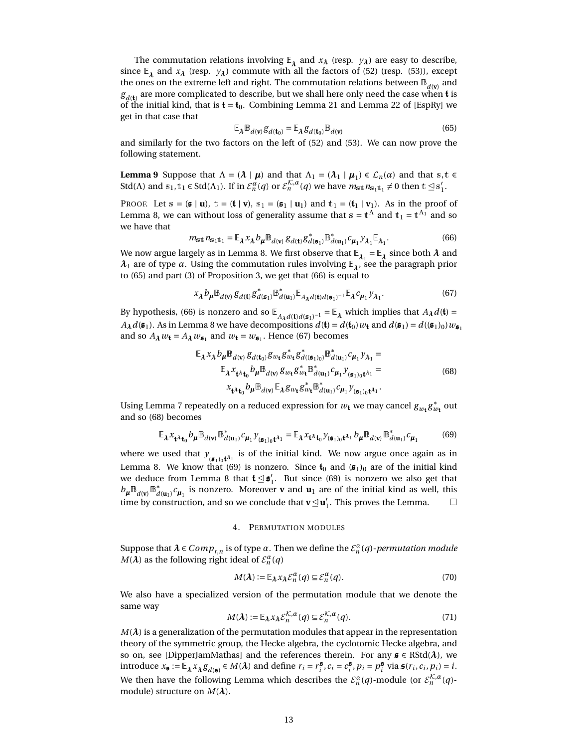The commutation relations involving  $\mathbb{E}_{\lambda}$  and  $x_{\lambda}$  (resp.  $y_{\lambda}$ ) are easy to describe, since  $\mathbb{E}_{\lambda}$  and  $x_{\lambda}$  (resp.  $y_{\lambda}$ ) commute with all the factors of [\(52\)](#page-10-1) (resp. [\(53\)](#page-10-2)), except the ones on the extreme left and right. The commutation relations between  $\mathbb{B}_{d(\textbf{v})}$  and  $g_{d(\mathbf{t})}$  are more complicated to describe, but we shall here only need the case when  $\mathbf{t}$  is of the initial kind, that is  $t = t_0$ . Combining Lemma 21 and Lemma 22 of [\[EspRy\]](#page-21-7) we get in that case that

<span id="page-12-6"></span><span id="page-12-1"></span>
$$
\mathbb{E}_{\lambda} \mathbb{B}_{d(\mathbf{v})} g_{d(\mathbf{t}_0)} = \mathbb{E}_{\lambda} g_{d(\mathbf{t}_0)} \mathbb{B}_{d(\mathbf{v})}
$$
(65)

and similarly for the two factors on the left of [\(52\)](#page-10-1) and [\(53\)](#page-10-2). We can now prove the following statement.

**Lemma 9** Suppose that  $\Lambda = (\lambda | \mu)$  and that  $\Lambda_1 = (\lambda_1 | \mu_1) \in \mathcal{L}_n(\alpha)$  and that s, t  $\in$ Std( $\Lambda$ ) and  $s_1, t_1 \in$  Std( $\Lambda_1$ ). If in  $\mathcal{E}_n^{\alpha}(q)$  or  $\mathcal{E}_n^{\mathcal{K},\alpha}(q)$  we have  $m_{s,t} n_{s_1t_1} \neq 0$  then  $t \leq s_1$  $\frac{1}{1}$ .

PROOF. Let  $s = (\mathbf{s} \mid \mathbf{u})$ ,  $t = (\mathbf{t} \mid \mathbf{v})$ ,  $s_1 = (\mathbf{s}_1 \mid \mathbf{u}_1)$  and  $t_1 = (\mathbf{t}_1 \mid \mathbf{v}_1)$ . As in the proof of Lemma [8,](#page-11-4) we can without loss of generality assume that  $\mathbb{s} = \mathbb{t}^{\Lambda}$  and  $\mathbb{t}_1 = \mathbb{t}^{\Lambda_1}$  and so we have that

<span id="page-12-2"></span>
$$
m_{\text{st}} n_{\text{s}_1 \text{t}_1} = \mathbb{E}_{\lambda} x_{\lambda} b_{\mu} \mathbb{B}_{d(\textbf{v})} g_{d(\textbf{t})} g_{d(\textbf{s}_1)}^* \mathbb{B}_{d(\textbf{u}_1)}^* c_{\mu_1} y_{\lambda_1} \mathbb{E}_{\lambda_1}.
$$
 (66)

We now argue largely as in Lemma [8.](#page-11-4) We first observe that  $\mathbb{E}_{\lambda_1} = \mathbb{E}_{\lambda}$  since both  $\lambda$  and  $\lambda_1$  are of type  $\alpha.$  Using the commutation rules involving  $\mathbb{E}_{\lambda}$ , see the paragraph prior to [\(65\)](#page-12-1) and part (3) of Proposition [3,](#page-7-1) we get that [\(66\)](#page-12-2) is equal to

<span id="page-12-3"></span>
$$
x_{\lambda} b_{\mu} \mathbb{B}_{d(\mathbf{v})} g_{d(\mathbf{t})} g_{d(\mathbf{s}_1)}^* \mathbb{B}_{d(\mathbf{u}_1)}^* \mathbb{E}_{A_{\lambda} d(\mathbf{t}) d(\mathbf{s}_1)^{-1}} \mathbb{E}_{\lambda} c_{\mu_1} y_{\lambda_1}.
$$
 (67)

By hypothesis, [\(66\)](#page-12-2) is nonzero and so  $\mathbb{E}_{A_{\lambda}d(\mathbf{t})d(\mathbf{s}_1)^{-1}} = \mathbb{E}_{\lambda}$  which implies that  $A_{\lambda}d(\mathbf{t}) =$  $A_{\lambda}d(\mathfrak{s}_1)$ . As in Lemma [8](#page-11-4) we have decompositions  $d(\mathfrak{t}) = d(\mathfrak{t}_0)w_{\mathfrak{t}}$  and  $d(\mathfrak{s}_1) = d((\mathfrak{s}_1)_0)w_{\mathfrak{s}_1}$ and so  $A_{\lambda} w_{\mathbf{t}} = A_{\lambda} w_{\mathbf{s}_1}$  and  $w_{\mathbf{t}} = w_{\mathbf{s}_1}$ . Hence [\(67\)](#page-12-3) becomes

$$
\mathbb{E}_{\lambda} x_{\lambda} b_{\mu} \mathbb{B}_{d(v)} g_{d(t_0)} g_{w_{t}} g_{w_{t}}^{*} g_{d((\mathfrak{s}_{1})_{0})}^{*} \mathbb{B}_{d(u_{1})}^{*} c_{\mu_{1}} y_{\lambda_{1}} =
$$
\n
$$
\mathbb{E}_{\lambda} x_{t^{\lambda} t_{0}} b_{\mu} \mathbb{B}_{d(v)} g_{w_{t}} g_{w_{t}}^{*} \mathbb{B}_{d(u_{1})}^{*} c_{\mu_{1}} y_{(\mathfrak{s}_{1})_{0} t^{\lambda_{1}}} =
$$
\n
$$
x_{t^{\lambda} t_{0}} b_{\mu} \mathbb{B}_{d(v)} \mathbb{E}_{\lambda} g_{w_{t}} g_{w_{t}}^{*} \mathbb{B}_{d(u_{1})}^{*} c_{\mu_{1}} y_{(\mathfrak{s}_{1})_{0} t^{\lambda_{1}}}.
$$
\n(68)

<span id="page-12-4"></span>Using Lemma [7](#page-11-2) repeatedly on a reduced expression for  $w_{\mathbf{t}}$  we may cancel  $g_{w_{\mathbf{t}}}g_{w_{\mathbf{t}}}^{*}$  out and so [\(68\)](#page-12-4) becomes

<span id="page-12-5"></span>
$$
\mathbb{E}_{\lambda} x_{\mathbf{t}^{\lambda}\mathbf{t}_0} b_{\mu} \mathbb{B}_{d(\mathbf{v})} \mathbb{B}_{d(\mathbf{u}_1)}^* c_{\mu_1} y_{(\mathfrak{s}_1)_0 \mathbf{t}^{\lambda_1}} = \mathbb{E}_{\lambda} x_{\mathbf{t}^{\lambda}\mathbf{t}_0} y_{(\mathfrak{s}_1)_0 \mathbf{t}^{\lambda_1}} b_{\mu} \mathbb{B}_{d(\mathbf{v})} \mathbb{B}_{d(\mathbf{u}_1)}^* c_{\mu_1}
$$
(69)

where we used that  $y_{(\mathfrak{s}_1)_0\mathfrak{t}^{\lambda_1}}$  is of the initial kind. We now argue once again as in Lemma [8.](#page-11-4) We know that [\(69\)](#page-12-5) is nonzero. Since  $t_0$  and  $(\mathfrak{s}_1)_0$  are of the initial kind we deduce from Lemma [8](#page-11-4) that  $\mathfrak{t}\unlhd\mathfrak{s}'_1$  $\int_1$ . But since [\(69\)](#page-12-5) is nonzero we also get that  $b_\mu \mathbb{B}_{d(\mathbf{v})} \mathbb{B}_d^*$  $d(\mathbf{u}_1)$  *c*<sub>*µ*1</sub> is nonzero. Moreover **v** and **u**<sub>1</sub> are of the initial kind as well, this time by construction, and so we conclude that  $\mathbf{v} \leq \mathbf{u}'_1$  $\frac{1}{1}$ . This proves the Lemma.  $\Box$ 

### 4. PERMUTATION MODULES

Suppose that  $\lambda \in Comp_{r,n}$  is of type  $\alpha$ . Then we define the  $\mathcal{E}_n^{\alpha}(q)$ -*permutation module M*( $\lambda$ ) as the following right ideal of  $\mathcal{E}_n^{\alpha}(q)$ 

$$
M(\lambda) := \mathbb{E}_{\lambda} x_{\lambda} \mathcal{E}_n^{\alpha}(q) \subseteq \mathcal{E}_n^{\alpha}(q). \tag{70}
$$

We also have a specialized version of the permutation module that we denote the same way

$$
M(\lambda) := \mathbb{E}_{\lambda} x_{\lambda} \mathcal{E}_n^{\mathcal{K}, \alpha}(q) \subseteq \mathcal{E}_n^{\mathcal{K}, \alpha}(q). \tag{71}
$$

<span id="page-12-0"></span> $M(\lambda)$  is a generalization of the permutation modules that appear in the representation theory of the symmetric group, the Hecke algebra, the cyclotomic Hecke algebra, and so on, see [\[DipperJamMathas\]](#page-21-10) and the references therein. For any  $\mathfrak{s} \in \text{RStd}(\lambda)$ , we introduce  $x_{\mathfrak{s}} := \mathbb{E}_{\lambda} x_{\lambda} g_{d(\mathfrak{s})} \in M(\lambda)$  and define  $r_i = r_i^{\mathfrak{s}}$ ,  $c_i = c_i^{\mathfrak{s}}$ ,  $p_i = p_i^{\mathfrak{s}}$  via  $\mathfrak{s}(r_i, c_i, p_i) = i$ . We then have the following Lemma which describes the  $\mathcal{E}_n^{\alpha}(q)$ -module (or  $\mathcal{E}_n^{\mathcal{K},\alpha}(q)$ module) structure on *M*(*λ*).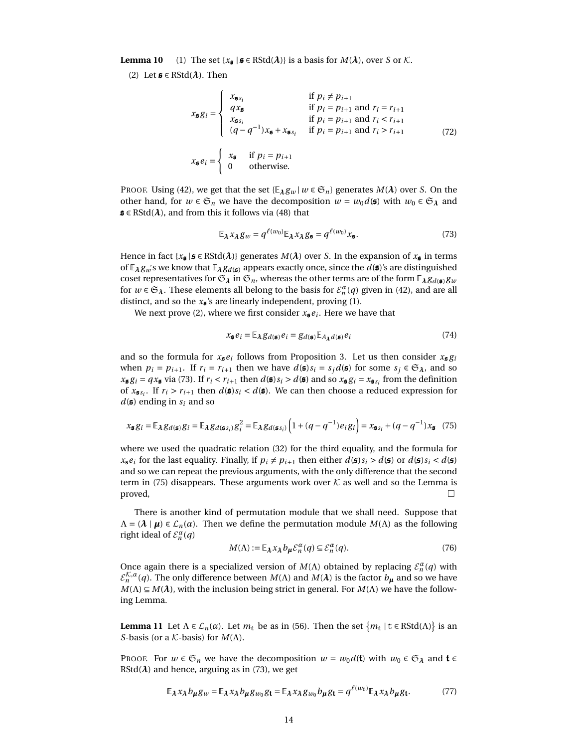**Lemma 10** (1) The set  $\{x_{\mathbf{s}} | \mathbf{s} \in \text{RStd}(\lambda)\}\)$  is a basis for  $M(\lambda)$ , over *S* or  $\mathcal{K}$ .

(2) Let  $\mathfrak{s} \in \text{RStd}(\lambda)$ . Then

$$
x_{\mathfrak{s}}g_i = \begin{cases} x_{\mathfrak{s}}g_i & \text{if } p_i \neq p_{i+1} \\ q x_{\mathfrak{s}} & \text{if } p_i = p_{i+1} \text{ and } r_i = r_{i+1} \\ x_{\mathfrak{s}}g_i & \text{if } p_i = p_{i+1} \text{ and } r_i < r_{i+1} \\ (q - q^{-1})x_{\mathfrak{s}} + x_{\mathfrak{s}}g_i & \text{if } p_i = p_{i+1} \text{ and } r_i > r_{i+1} \end{cases} \tag{72}
$$
\n
$$
x_{\mathfrak{s}}e_i = \begin{cases} x_{\mathfrak{s}} & \text{if } p_i = p_{i+1} \\ 0 & \text{otherwise.} \end{cases}
$$

PROOF. Using [\(42\)](#page-8-1), we get that the set  $\{\mathbb{E}_{\lambda} g_w | w \in \mathfrak{S}_n\}$  generates  $M(\lambda)$  over *S*. On the other hand, for  $w \in \mathfrak{S}_n$  we have the decomposition  $w = w_0 d(\mathfrak{s})$  with  $w_0 \in \mathfrak{S}_\lambda$  and  $\mathfrak{s} \in \text{RStd}(\lambda)$ , and from this it follows via [\(48\)](#page-9-3) that

<span id="page-13-1"></span>
$$
\mathbb{E}_{\lambda} x_{\lambda} g_{w} = q^{\ell(w_0)} \mathbb{E}_{\lambda} x_{\lambda} g_{\mathfrak{s}} = q^{\ell(w_0)} x_{\mathfrak{s}}.
$$
 (73)

Hence in fact  $\{x_{\xi} | \xi \in \text{RStd}(\lambda)\}$  generates  $M(\lambda)$  over *S*. In the expansion of  $x_{\xi}$  in terms of  $\mathbb{E}_{\lambda}g_{u}$ 's we know that  $\mathbb{E}_{\lambda}g_{d(\mathfrak{s})}$  appears exactly once, since the  $d(\mathfrak{s})$ 's are distinguished coset representatives for  $\mathfrak{S}_\lambda$  in  $\mathfrak{S}_n$ , whereas the other terms are of the form  $\mathbb{E}_\lambda g_{d(\mathfrak{s})}g_w$ for  $w \in \mathfrak{S}_{\lambda}$ . These elements all belong to the basis for  $\mathcal{E}_n^{\alpha}(q)$  given in [\(42\)](#page-8-1), and are all distinct, and so the  $x_{\mathbf{s}}$ 's are linearly independent, proving (1).

We next prove (2), where we first consider  $x_{\mathbf{\mathfrak{s}}}e_i.$  Here we have that

$$
x_{\mathbf{\mathfrak{s}}}e_i = \mathbb{E}_{\lambda} g_{d(\mathbf{\mathfrak{s}})} e_i = g_{d(\mathbf{\mathfrak{s}})} \mathbb{E}_{A_{\lambda} d(\mathbf{\mathfrak{s}})} e_i
$$
(74)

and so the formula for  $x_{\mathbf{s}}e_i$  follows from Proposition [3.](#page-7-1) Let us then consider  $x_{\mathbf{s}}g_i$ when  $p_i = p_{i+1}$ . If  $r_i = r_{i+1}$  then we have  $d(\mathfrak{s})s_i = s_j d(\mathfrak{s})$  for some  $s_j \in \mathfrak{S}_\lambda$ , and so  $x_{\mathbf{5}}g_i = q x_{\mathbf{5}}$  via [\(73\)](#page-13-1). If  $r_i < r_{i+1}$  then  $d(\mathbf{s})s_i > d(\mathbf{s})$  and so  $x_{\mathbf{5}}g_i = x_{\mathbf{5}}s_i$  from the definition of  $x_{\mathfrak{s}s_i}$ . If  $r_i > r_{i+1}$  then  $d(\mathfrak{s})s_i < d(\mathfrak{s})$ . We can then choose a reduced expression for  $d(\boldsymbol{s})$  ending in  $s_i$  and so

<span id="page-13-2"></span>
$$
x_{\mathbf{5}}g_i = \mathbb{E}_{\lambda}g_{d(\mathbf{s})}g_i = \mathbb{E}_{\lambda}g_{d(\mathbf{s}_{\delta i})}g_i^2 = \mathbb{E}_{\lambda}g_{d(\mathbf{s}_{\delta i})}\left(1 + (q - q^{-1})e_i g_i\right) = x_{\mathbf{s}_{\delta i}} + (q - q^{-1})x_{\mathbf{s}} \tag{75}
$$

where we used the quadratic relation [\(32\)](#page-6-2) for the third equality, and the formula for  $x_s e_i$  for the last equality. Finally, if  $p_i \neq p_{i+1}$  then either  $d(\mathfrak{s}) s_i > d(\mathfrak{s})$  or  $d(\mathfrak{s}) s_i < d(\mathfrak{s})$ and so we can repeat the previous arguments, with the only difference that the second term in [\(75\)](#page-13-2) disappears. These arguments work over  $K$  as well and so the Lemma is  $\Box$ 

There is another kind of permutation module that we shall need. Suppose that  $\Lambda = (\lambda | \mu) \in \mathcal{L}_n(\alpha)$ . Then we define the permutation module  $M(\Lambda)$  as the following right ideal of  $\mathcal{E}_n^{\alpha}(q)$ 

$$
M(\Lambda) := \mathbb{E}_{\lambda} x_{\lambda} b_{\mu} \mathcal{E}_n^{\alpha}(q) \subseteq \mathcal{E}_n^{\alpha}(q).
$$
 (76)

Once again there is a specialized version of  $M(\Lambda)$  obtained by replacing  $\mathcal{E}_n^{\alpha}(q)$  with  $\mathcal{E}_n^{\mathcal{K},\alpha}(q).$  The only difference between  $M(\Lambda)$  and  $M(\lambda)$  is the factor  $b_{\pmb{\mu}}$  and so we have  $M(\Lambda) \subseteq M(\lambda)$ , with the inclusion being strict in general. For  $M(\Lambda)$  we have the following Lemma.

<span id="page-13-0"></span>**Lemma 11** Let  $\Lambda \in \mathcal{L}_n(\alpha)$ . Let  $m_t$  be as in [\(56\)](#page-10-3). Then the set  $\{m_t | t \in \text{RStd}(\Lambda)\}\)$  is an *S*-basis (or a K-basis) for *M*(Λ).

PROOF. For  $w \in \mathfrak{S}_n$  we have the decomposition  $w = w_0 d(\mathfrak{t})$  with  $w_0 \in \mathfrak{S}_\lambda$  and  $\mathfrak{t} \in$ RStd( $\lambda$ ) and hence, arguing as in [\(73\)](#page-13-1), we get

$$
\mathbb{E}_{\lambda} x_{\lambda} b_{\mu} g_{w} = \mathbb{E}_{\lambda} x_{\lambda} b_{\mu} g_{w_{0}} g_{\mathbf{t}} = \mathbb{E}_{\lambda} x_{\lambda} g_{w_{0}} b_{\mu} g_{\mathbf{t}} = q^{\ell(w_{0})} \mathbb{E}_{\lambda} x_{\lambda} b_{\mu} g_{\mathbf{t}}.
$$
 (77)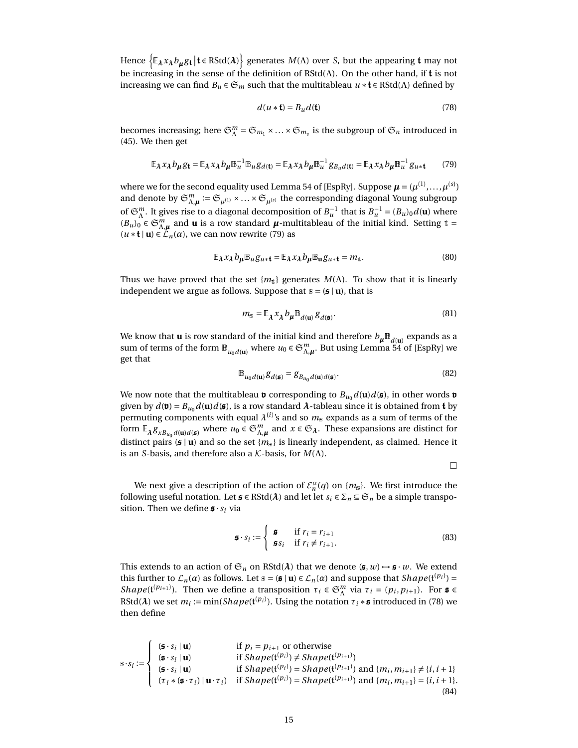Hence  $\left\{\mathbb{E}_{\lambda}x_{\lambda}b_{\mu}g_{\mathbf{t}}\big| \mathbf{t} \in \text{RStd}(\lambda)\right\}$  generates  $M(\Lambda)$  over *S*, but the appearing  $\mathbf{t}$  may not be increasing in the sense of the definition of  $RStd(\Lambda)$ . On the other hand, if t is not increasing we can find  $B_u \in \mathfrak{S}_m$  such that the multitableau  $u * \mathfrak{t} \in \text{RStd}(\Lambda)$  defined by

<span id="page-14-1"></span>
$$
d(u * \mathbf{t}) = B_u d(\mathbf{t})
$$
\n(78)

becomes increasing; here  $\mathfrak{S}_{\Lambda}^m = \mathfrak{S}_{m_1} \times ... \times \mathfrak{S}_{m_s}$  is the subgroup of  $\mathfrak{S}_n$  introduced in [\(45\)](#page-9-1). We then get

<span id="page-14-0"></span>
$$
\mathbb{E}_{\lambda} x_{\lambda} b_{\mu} g_{\mathfrak{t}} = \mathbb{E}_{\lambda} x_{\lambda} b_{\mu} \mathbb{B}_{u}^{-1} \mathbb{B}_{u} g_{d(\mathfrak{t})} = \mathbb{E}_{\lambda} x_{\lambda} b_{\mu} \mathbb{B}_{u}^{-1} g_{B_{u} d(\mathfrak{t})} = \mathbb{E}_{\lambda} x_{\lambda} b_{\mu} \mathbb{B}_{u}^{-1} g_{u \ast \mathfrak{t}} \tag{79}
$$

where we for the second equality used Lemma 54 of [\[EspRy\]](#page-21-7). Suppose  $\pmb{\mu} = (\mu^{(1)},...,\mu^{(s)})$ and denote by  $\mathfrak{S}_{\Lambda,\mu}^m:=\mathfrak{S}_{\mu^{(1)}}\times\ldots\times\mathfrak{S}_{\mu^{(s)}}$  the corresponding diagonal Young subgroup of  $\mathfrak{S}_{\Lambda}^m$ . It gives rise to a diagonal decomposition of  $B_u^{-1}$  that is  $B_u^{-1} = (B_u)_0 d(\mathbf{u})$  where  $(B_u)_0$   $\in \mathfrak{S}_{\Lambda,\mu}^m$  and **u** is a row standard  $\mu$ -multitableau of the initial kind. Setting  $t =$  $(u * t | u) \in \mathcal{L}_n(\alpha)$ , we can now rewrite [\(79\)](#page-14-0) as

<span id="page-14-3"></span>
$$
\mathbb{E}_{\lambda} x_{\lambda} b_{\mu} \mathbb{B}_{u} g_{u \ast \mathbf{t}} = \mathbb{E}_{\lambda} x_{\lambda} b_{\mu} \mathbb{B}_{u} g_{u \ast \mathbf{t}} = m_{t}.
$$
\n(80)

Thus we have proved that the set  ${m<sub>t</sub>}$  generates  $M(\Lambda)$ . To show that it is linearly independent we argue as follows. Suppose that  $s = (\mathbf{s} \mid \mathbf{u})$ , that is

$$
m_{\mathbf{s}} = \mathbb{E}_{\lambda} x_{\lambda} b_{\mu} \mathbb{B}_{d(\mathbf{u})} g_{d(\mathbf{s})}.
$$
 (81)

We know that **u** is row standard of the initial kind and therefore  $b_{\mu} \mathbb{B}_{d(\mathbf{u})}$  expands as a sum of terms of the form  $\mathbb{B}_{u_0d(\mathbf{u})}$  where  $u_0 \in \mathfrak{S}_{\Lambda,\mu}^m$ . But using Lemma 54 of [\[EspRy\]](#page-21-7) we get that

$$
\mathbb{B}_{u_0d(\mathbf{u})}g_{d(\mathbf{s})} = g_{B_{u_0}d(\mathbf{u})d(\mathbf{s})}.
$$
\n(82)

We now note that the multitableau **v** corresponding to  $B_{u_0}d(\mathbf{u})d(\mathbf{s})$ , in other words **v** given by  $d(\mathbf{v}) = B_{u_0}d(\mathbf{u})d(\mathbf{s})$ , is a row standard  $\lambda$ -tableau since it is obtained from **t** by permuting components with equal  $\lambda^{(i)}$ 's and so  $m_{\rm s}$  expands as a sum of terms of the form  $\mathbb{E}_{\lambda} g_{xB_{u_0}d(\mathbf{u})d(\mathbf{s})}$  where  $u_0 \in \mathfrak{S}_{\Lambda,\mu}^m$  and  $x \in \mathfrak{S}_{\lambda}$ . These expansions are distinct for distinct pairs ( $\boldsymbol{s} \mid \boldsymbol{u}$ ) and so the set { $m_s$ } is linearly independent, as claimed. Hence it is an *S*-basis, and therefore also a K-basis, for *M*(Λ).

 $\Box$ 

We next give a description of the action of  $\mathcal{E}_n^{\alpha}(q)$  on  $\{m_{\mathbb{S}}\}$ . We first introduce the following useful notation. Let  $\boldsymbol{s} \in \text{RStd}(\boldsymbol{\lambda})$  and let let  $s_i \in \Sigma_n \subseteq \mathfrak{S}_n$  be a simple transposition. Then we define  $\boldsymbol{s} \cdot s_i$  via

$$
\mathbf{s} \cdot s_i := \begin{cases} \mathbf{s} & \text{if } r_i = r_{i+1} \\ \mathbf{s} s_i & \text{if } r_i \neq r_{i+1}. \end{cases}
$$
 (83)

This extends to an action of  $\mathfrak{S}_n$  on RStd( $\lambda$ ) that we denote ( $\mathfrak{s}, w$ )  $\rightarrow \mathfrak{s} \cdot w$ . We extend this further to  $\mathcal{L}_n(\alpha)$  as follows. Let  $s = (\mathfrak{s} \mid \mathbf{u}) \in \mathcal{L}_n(\alpha)$  and suppose that  $Shape(\mathfrak{t}^{(p_i)}) =$ *Shape*( $\mathfrak{t}^{(p_{i+1})}$ ). Then we define a transposition  $\tau_i \in \mathfrak{S}_{\Lambda}^m$  via  $\tau_i = (p_i, p_{i+1})$ . For  $\mathfrak{s} \in \mathfrak{S}_{\Lambda}^m$ RStd( $\lambda$ ) we set  $m_i := \min(Shape({}^{\{p_i\}}).$  Using the notation  $\tau_i * \mathfrak{s}$  introduced in [\(78\)](#page-14-1) we then define

<span id="page-14-2"></span>
$$
\mathbf{s} \cdot s_i := \begin{cases}\n(\mathbf{s} \cdot s_i \mid \mathbf{u}) & \text{if } p_i = p_{i+1} \text{ or otherwise} \\
(\mathbf{s} \cdot s_i \mid \mathbf{u}) & \text{if } Shape(\mathbf{t}^{(p_i)}) \neq Shape(\mathbf{t}^{(p_{i+1})}) \\
(\mathbf{s} \cdot s_i \mid \mathbf{u}) & \text{if } Shape(\mathbf{t}^{(p_i)}) = Shape(\mathbf{t}^{(p_{i+1})}) \text{ and } \{m_i, m_{i+1}\} \neq \{i, i+1\} \\
(\tau_i * (\mathbf{s} \cdot \tau_i) \mid \mathbf{u} \cdot \tau_i) & \text{if } Shape(\mathbf{t}^{(p_i)}) = Shape(\mathbf{t}^{(p_{i+1})}) \text{ and } \{m_i, m_{i+1}\} = \{i, i+1\}.\n\end{cases}
$$
\n(84)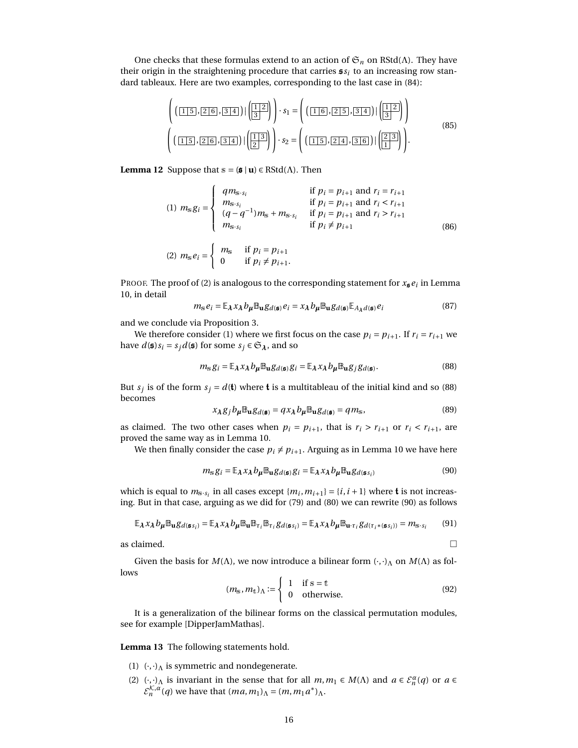One checks that these formulas extend to an action of  $\mathfrak{S}_n$  on RStd( $\Lambda$ ). They have their origin in the straightening procedure that carries  $s_i$  to an increasing row standard tableaux. Here are two examples, corresponding to the last case in [\(84\)](#page-14-2):

$$
\left( \left( \boxed{1 \, 5}, \boxed{2 \, 6}, \boxed{3 \, 4} \right) \mid \left( \boxed{1 \, 2} \right) \right) \cdot s_1 = \left( \left( \boxed{1 \, 6}, \boxed{2 \, 5}, \boxed{3 \, 4} \right) \mid \left( \boxed{1 \, 2} \right) \right) \n\left( \left( \boxed{1 \, 5}, \boxed{2 \, 6}, \boxed{3 \, 4} \right) \mid \left( \boxed{1 \, 3} \right) \right) \cdot s_2 = \left( \left( \boxed{1 \, 5}, \boxed{2 \, 4}, \boxed{3 \, 6} \right) \mid \left( \boxed{2 \, 3} \right) \right).
$$
\n(85)

<span id="page-15-0"></span>**Lemma 12** Suppose that  $\mathbf{s} = (\mathbf{s} \mid \mathbf{u}) \in \text{RStd}(\Lambda)$ . Then

(1) 
$$
m_{s}g_{i} = \begin{cases} qm_{s \cdot s_{i}} & \text{if } p_{i} = p_{i+1} \text{ and } r_{i} = r_{i+1} \\ m_{s \cdot s_{i}} & \text{if } p_{i} = p_{i+1} \text{ and } r_{i} < r_{i+1} \\ (q - q^{-1})m_{s} + m_{s \cdot s_{i}} & \text{if } p_{i} = p_{i+1} \text{ and } r_{i} > r_{i+1} \\ m_{s \cdot s_{i}} & \text{if } p_{i} \neq p_{i+1} \end{cases}
$$
\n(86)

$$
(2) \ m_{\rm s} e_i = \begin{cases} \ m_{\rm s} & \text{if } p_i = p_{i+1} \\ 0 & \text{if } p_i \neq p_{i+1}. \end{cases}
$$

PROOF. The proof of (2) is analogous to the corresponding statement for  $x_{\mathbf{s}}e_i$  in Lemma [10,](#page-12-0) in detail

$$
m_{\rm s}e_i = \mathbb{E}_{\lambda} x_{\lambda} b_{\mu} \mathbb{B}_{\mathbf{u}} g_{d(\mathbf{s})} e_i = x_{\lambda} b_{\mu} \mathbb{B}_{\mathbf{u}} g_{d(\mathbf{s})} \mathbb{E}_{A_{\lambda} d(\mathbf{s})} e_i
$$
(87)

and we conclude via Proposition [3.](#page-7-1)

We therefore consider (1) where we first focus on the case  $p_i = p_{i+1}$ . If  $r_i = r_{i+1}$  we have  $d(\mathbf{s})s_i = s_j d(\mathbf{s})$  for some  $s_j \in \mathfrak{S}_\lambda$ , and so

<span id="page-15-1"></span>
$$
m_{\rm s}g_i = \mathbb{E}_{\lambda} x_{\lambda} b_{\mu} \mathbb{B}_{\mathbf{u}} g_{d(\mathfrak{s})} g_i = \mathbb{E}_{\lambda} x_{\lambda} b_{\mu} \mathbb{B}_{\mathbf{u}} g_j g_{d(\mathfrak{s})}.
$$
 (88)

But  $s_j$  is of the form  $s_j = d(\mathbf{t})$  where  $\mathbf{t}$  is a multitableau of the initial kind and so [\(88\)](#page-15-1) becomes

$$
x_{\lambda}g_j b_{\mu} \mathbb{B}_{{\bf u}} g_{d(\mathfrak{s})} = q x_{\lambda} b_{\mu} \mathbb{B}_{{\bf u}} g_{d(\mathfrak{s})} = q m_{\mathfrak{s}},
$$
\n(89)

as claimed. The two other cases when  $p_i = p_{i+1}$ , that is  $r_i > r_{i+1}$  or  $r_i < r_{i+1}$ , are proved the same way as in Lemma [10.](#page-12-0)

We then finally consider the case  $p_i \neq p_{i+1}$ . Arguing as in Lemma [10](#page-12-0) we have here

<span id="page-15-2"></span>
$$
m_{\rm s}g_i = \mathbb{E}_{\lambda} x_{\lambda} b_{\mu} \mathbb{B}_{\mathbf{u}} g_{d(\mathfrak{s})} g_i = \mathbb{E}_{\lambda} x_{\lambda} b_{\mu} \mathbb{B}_{\mathbf{u}} g_{d(\mathfrak{s}_{s_i})}
$$
(90)

which is equal to  $m_{s \cdot s_i}$  in all cases except  $\{m_i, m_{i+1}\} = \{i, i+1\}$  where **t** is not increasing. But in that case, arguing as we did for [\(79\)](#page-14-0) and [\(80\)](#page-14-3) we can rewrite [\(90\)](#page-15-2) as follows

$$
\mathbb{E}_{\lambda} x_{\lambda} b_{\mu} \mathbb{B}_{\mathbf{u}} g_{d(\mathfrak{g}_{S_i})} = \mathbb{E}_{\lambda} x_{\lambda} b_{\mu} \mathbb{B}_{\mathbf{u}} \mathbb{B}_{\tau_i} \mathbb{B}_{\tau_i} g_{d(\mathfrak{g}_{S_i})} = \mathbb{E}_{\lambda} x_{\lambda} b_{\mu} \mathbb{B}_{\mathbf{u} \cdot \tau_i} g_{d(\tau_i * (\mathfrak{g}_{S_i}))} = m_{s \cdot s_i}
$$
(91)

as claimed.  $\Box$ 

Given the basis for  $M(\Lambda)$ , we now introduce a bilinear form  $(\cdot, \cdot)_{\Lambda}$  on  $M(\Lambda)$  as follows

<span id="page-15-3"></span>
$$
(m_{\rm s}, m_{\rm t})_{\Lambda} := \begin{cases} 1 & \text{if } \rm s = t \\ 0 & \text{otherwise.} \end{cases}
$$
 (92)

It is a generalization of the bilinear forms on the classical permutation modules, see for example [\[DipperJamMathas\]](#page-21-10).

**Lemma 13** The following statements hold.

- (1)  $(\cdot, \cdot)$ <sub>Λ</sub> is symmetric and nondegenerate.
- (2)  $(\cdot, \cdot)$ <sub>Λ</sub> is invariant in the sense that for all  $m, m_1 \in M(\Lambda)$  and  $a \in \mathcal{E}_n^{\alpha}(q)$  or  $a \in \mathcal{E}_n^{\alpha}(q)$  $\mathcal{E}_n^{\mathcal{K},\alpha}(q)$  we have that  $(ma,m_1)_{\Lambda} = (m,m_1a^*)_{\Lambda}$ .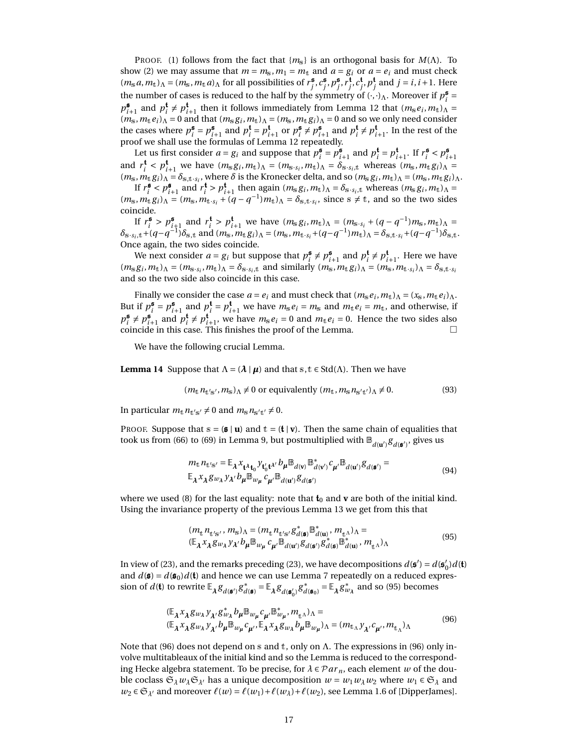PROOF. (1) follows from the fact that  ${m_{\tilde{s}}}\$  is an orthogonal basis for *M*( $\Lambda$ ). To show (2) we may assume that  $m = m_s$ ,  $m_1 = m_t$  and  $a = g_i$  or  $a = e_i$  and must check  $(m_s a, m_t)$ <sub>A</sub> =  $(m_s, m_t a)$ <sub>A</sub> for all possibilities of  $r_j^{\mathfrak{s}}, c_j^{\mathfrak{s}}, p_j^{\mathfrak{s}}, r_j^{\mathfrak{t}}, c_j^{\mathfrak{t}}, p_j^{\mathfrak{t}}$  and  $j = i, i + 1$ . Here the number of cases is reduced to the half by the symmetry of  $(\cdot, \cdot)$ <sub>Λ</sub>. Moreover if  $p_i^{\mathfrak{s}} =$  $p_{i+1}^{\sharp}$  and  $p_i^{\sharp} \neq p_{i+1}^{\sharp}$  then it follows immediately from Lemma [12](#page-15-0) that  $(m_s e_i, m_t)_{\Lambda} =$ *i* (*m*s,*m*t*ei*)<sup>Λ</sup> = 0 and that (*m*s*g<sup>i</sup>* ,*m*t)<sup>Λ</sup> = (*m*s,*m*t*gi*)<sup>Λ</sup> = 0 and so we only need consider the cases where  $p_i^{\mathfrak{s}} = p_{i+1}^{\mathfrak{s}}$  and  $p_i^{\mathfrak{t}} = p_{i+1}^{\mathfrak{t}}$  or  $p_i^{\mathfrak{s}} \neq p_{i+1}^{\mathfrak{s}}$  and  $p_i^{\mathfrak{t}} \neq p_{i+1}^{\mathfrak{t}}$ . In the rest of the proof we shall use the formulas of Lemma [12](#page-15-0) repeatedly.

Let us first consider  $a = g_i$  and suppose that  $p_i^{\mathfrak{s}} = p_{i+1}^{\mathfrak{s}}$  and  $p_i^{\mathfrak{t}} = p_{i+1}^{\mathfrak{t}}$ . If  $r_i^{\mathfrak{s}} < p_{i+1}^{\mathfrak{s}}$ and  $r_i^{\mathbf{t}} < p_{i+1}^{\mathbf{t}}$  we have  $(m_s g_i, m_t)_{\Lambda} = (m_{s \cdot s_i}, m_t)_{\Lambda} = \delta_{s \cdot s_i, t}$  whereas  $(m_s, m_t g_i)_{\Lambda} =$  $(m_s, m_t g_i)$ <sup>1</sup> $\Lambda = \delta_{s,t \cdot s_i}$ , where  $\delta$  is the Kronecker delta, and so  $(m_s g_i, m_t)$  $\Lambda = (m_s, m_t g_i)$  $\Lambda$ .

If  $r_i^{\mathfrak{s}} < p_{i+1}^{\mathfrak{s}}$  and  $r_i^{\mathfrak{t}} > p_{i+1}^{\mathfrak{t}}$  then again  $(m_s g_i, m_t)_{\Lambda} = \delta_{s \cdot s_i, t}$  whereas  $(m_s g_i, m_t)_{\Lambda} =$  $(m_s, m_t g_i)$ <sub>Λ</sub> =  $(m_s, m_{t \cdot s_i} + (q - q^{-1}) m_t)$ <sub>Λ</sub> =  $\delta_{s,t \cdot s_i}$ , since  $s \neq t$ , and so the two sides coincide.

If  $r_i^{\mathbf{s}} > p_{i+1}^{\mathbf{s}}$  and  $r_i^{\mathbf{t}} > p_{i+1}^{\mathbf{t}}$  we have  $(m_s g_i, m_t)_\Lambda = (m_{s \cdot s_i} + (q - q^{-1}) m_s, m_t)_\Lambda =$  $\delta_{s \cdot s_i,t} + (q - q^{-1}) \delta_{s,t}$  and  $(m_s, m_t g_i)$   $\Lambda = (m_s, m_t, s_i + (q - q^{-1}) m_t)$   $\Lambda = \delta_{s,t \cdot s_i} + (q - q^{-1}) \delta_{s,t}$ . Once again, the two sides coincide.

We next consider  $a = g_i$  but suppose that  $p_i^{\mathfrak{s}} \neq p_{i+1}^{\mathfrak{s}}$  and  $p_i^{\mathfrak{t}} \neq p_{i+1}^{\mathfrak{t}}$ . Here we have  $(m_s g_i, m_t)$ <sub> $\Lambda$ </sub> =  $(m_{s \cdot s_i}, m_t)$ <sub> $\Lambda$ </sub> =  $\delta_{s \cdot s_i,t}$  and similarly  $(m_s, m_t g_i)$ <sub> $\Lambda$ </sub> =  $(m_s, m_t \cdot s_i)$ <sub> $\Lambda$ </sub> =  $\delta_{s,t} \cdot s_i$ and so the two side also coincide in this case.

Finally we consider the case  $a = e_i$  and must check that  $(m_s e_i, m_t)_\Lambda = (x_s, m_t e_i)_\Lambda$ . But if  $p_i^{\mathfrak{s}} = p_{i+1}^{\mathfrak{s}}$  and  $p_i^{\mathfrak{t}} = p_{i+1}^{\mathfrak{t}}$  we have  $m_{\mathfrak{s}}e_i = m_{\mathfrak{s}}$  and  $m_{\mathfrak{t}}e_i = m_{\mathfrak{t}}$ , and otherwise, if  $p_i^{\sharp} \neq p_{i+1}^{\sharp}$  and  $p_i^{\sharp} \neq p_{i+1}^{\sharp}$ , we have  $m_s e_i = 0$  and  $m_t e_i = 0$ . Hence the two sides also coincide in this case. This finishes the proof of the Lemma.

We have the following crucial Lemma.

**Lemma 14** Suppose that  $\Lambda = (\lambda | \mu)$  and that s, t  $\in$  Std( $\Lambda$ ). Then we have

<span id="page-16-0"></span>
$$
(m_t n_{t's'}, m_s)_{\Lambda} \neq 0 \text{ or equivalently } (m_t, m_s n_{s't'})_{\Lambda} \neq 0. \tag{93}
$$

In particular  $m_t n_{t's'} \neq 0$  and  $m_s n_{s't'} \neq 0$ .

PROOF. Suppose that  $s = (s | u)$  and  $t = (t | v)$ . Then the same chain of equalities that took us from [\(66\)](#page-12-2) to [\(69\)](#page-12-5) in Lemma [9,](#page-12-6) but postmultiplied with  $\mathbb{B}_{d(\mathbf{u}')}g_{d(\mathbf{s}')}$ , gives us

$$
m_{\mathbf{t}} n_{\mathbf{t}'\mathbf{s}'} = \mathbb{E}_{\lambda} x_{\mathbf{t} \lambda \mathbf{t}_0} y_{\mathbf{t}'_0 \mathbf{t}^{\lambda'}} b_{\mu} \mathbb{B}_{d(\mathbf{v})} \mathbb{B}_{d(\mathbf{v}')}^* c_{\mu'} \mathbb{B}_{d(\mathbf{u}')} g_{d(\mathbf{s}')} =
$$
  
\n
$$
\mathbb{E}_{\lambda} x_{\lambda} g_{w_{\lambda}} y_{\lambda'} b_{\mu} \mathbb{B}_{w_{\mu}} c_{\mu'} \mathbb{B}_{d(\mathbf{u}')} g_{d(\mathbf{s}')}
$$
\n(94)

where we used [\(8\)](#page-3-2) for the last equality: note that  $t_0$  and  $v$  are both of the initial kind. Using the invariance property of the previous Lemma [13](#page-15-3) we get from this that

<span id="page-16-1"></span>
$$
(m_{\mathbf{t}} n_{\mathbf{t}'\mathbf{s}'}, m_{\mathbf{s}})_{\Lambda} = (m_{\mathbf{t}} n_{\mathbf{t}'\mathbf{s}'} g_{d(\mathbf{s})}^* \mathbb{B}_{d(\mathbf{u})}^*, m_{\mathbf{t}'} )_{\Lambda} =
$$
  
( $\mathbb{E}_{\lambda} x_{\lambda} g_{w_{\lambda}} y_{\lambda'} b_{\mu} \mathbb{B}_{w_{\mu}} c_{\mu'} \mathbb{B}_{d(\mathbf{u}')} g_{d(\mathbf{s})}^* g_{d(\mathbf{s})}^* \mathbb{B}_{d(\mathbf{u})}^*, m_{\mathbf{t}'} )_{\Lambda}$  (95)

In view of [\(23\)](#page-5-2), and the remarks preceding (23), we have decompositions  $d(\mathbf{s}') = d(\mathbf{s}'')$  $'_{0}$ ) $d$ (**t**) and  $d(\mathbf{s}) = d(\mathbf{s}_0)d(\mathbf{t})$  and hence we can use Lemma [7](#page-11-2) repeatedly on a reduced expression of  $d(\mathbf{t})$  to rewrite  $\mathbb{E}_{\lambda} g_{d(\mathbf{s}')} g_{d}^*$  $\phi_d^* = \mathbb{E}_{\lambda} g_{d(\mathfrak{s}_0')} g_d^*$  $d(\mathfrak{s}_0) = \mathbb{E}_{\lambda} g_{w_{\lambda}}^*$  and so [\(95\)](#page-16-1) becomes

<span id="page-16-2"></span>
$$
(\mathbb{E}_{\lambda} x_{\lambda} g_{w_{\lambda}} y_{\lambda'} g_{w_{\lambda}}^* b_{\mu} \mathbb{B}_{w_{\mu}} c_{\mu'} \mathbb{B}_{w_{\mu}}^* m_{\mathbf{t}})_{\Lambda} =(\mathbb{E}_{\lambda} x_{\lambda} g_{w_{\lambda}} y_{\lambda'} b_{\mu} \mathbb{B}_{w_{\mu}} c_{\mu'} \mathbb{E}_{\lambda} x_{\lambda} g_{w_{\lambda}} b_{\mu} \mathbb{B}_{w_{\mu}})_{\Lambda} = (m_{\mathbf{t}}_{\Lambda} y_{\lambda'} c_{\mu'} m_{\mathbf{t}})_{\Lambda}
$$
(96)

Note that [\(96\)](#page-16-2) does not depend on s and t, only on  $\Lambda$ . The expressions in (96) only involve multitableaux of the initial kind and so the Lemma is reduced to the corresponding Hecke algebra statement. To be precise, for  $\lambda \in \mathcal{P}ar_n$ , each element *w* of the double coclass  $\mathfrak{S}_{\lambda}w_{\lambda}\mathfrak{S}_{\lambda'}$  has a unique decomposition  $w = w_1w_{\lambda}w_2$  where  $w_1 \in \mathfrak{S}_{\lambda}$  and  $w_2 \in \mathfrak{S}_{\lambda'}$  and moreover  $\ell(w) = \ell(w_1) + \ell(w_2) + \ell(w_2)$ , see Lemma 1.6 of [\[DipperJames\]](#page-21-9).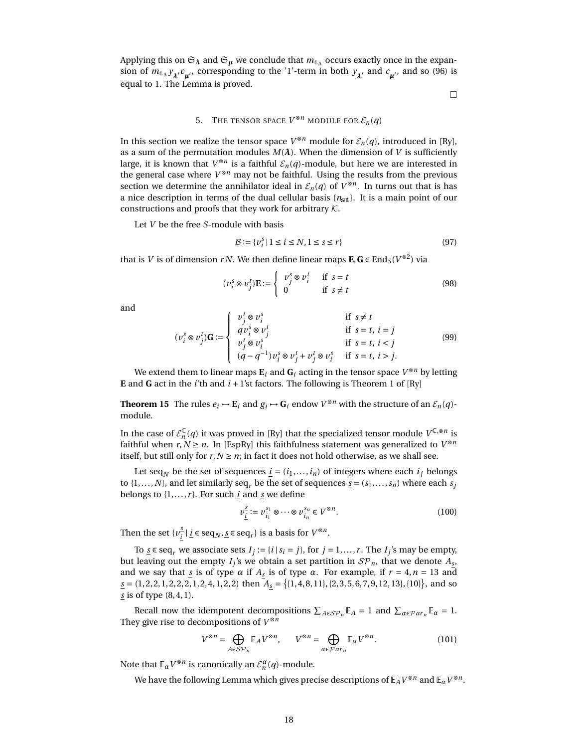Applying this on  $\mathfrak{S}_\lambda$  and  $\mathfrak{S}_\mu$  we conclude that  $m_{\mathbf{t}_\Lambda}$  occurs exactly once in the expansion of  $m_{\text{t}_{\text{A}}}\gamma_{\chi'}c_{\mu'}$ , corresponding to the '1'-term in both  $\gamma_{\chi'}$  and  $c_{\mu'}$ , and so [\(96\)](#page-16-2) is equal to 1. The Lemma is proved.

 $\Box$ 

# 5. THE TENSOR SPACE  $V^{\otimes n}$  module for  $\mathcal{E}_n(q)$

In this section we realize the tensor space  $V^{\otimes n}$  module for  $\mathcal{E}_n(q)$ , introduced in [\[Ry\]](#page-22-3), as a sum of the permutation modules  $M(\lambda)$ . When the dimension of *V* is sufficiently large, it is known that  $V^{\otimes n}$  is a faithful  $\mathcal{E}_n(q)$ -module, but here we are interested in the general case where  $V^{\otimes n}$  may not be faithful. Using the results from the previous section we determine the annihilator ideal in  $\mathcal{E}_n(q)$  of  $V^{\otimes n}$ . In turns out that is has a nice description in terms of the dual cellular basis {*n*st}. It is a main point of our constructions and proofs that they work for arbitrary  $K$ .

Let *V* be the free *S*-module with basis

<span id="page-17-0"></span>
$$
\mathcal{B} := \{v_i^s \mid 1 \le i \le N, 1 \le s \le r\}
$$
\n(97)

that is *V* is of dimension *rN*. We then define linear maps  $\mathbf{E}, \mathbf{G} \in \text{End}_{S}(V^{\otimes 2})$  via

<span id="page-17-1"></span>
$$
(\nu_i^s \otimes \nu_j^t)\mathbf{E} := \begin{cases} \nu_j^s \otimes \nu_i^t & \text{if } s = t \\ 0 & \text{if } s \neq t \end{cases}
$$
 (98)

and

<span id="page-17-2"></span>
$$
(v_i^s \otimes v_j^t)\mathbf{G} := \begin{cases} v_j^t \otimes v_i^s & \text{if } s \neq t \\ qv_i^s \otimes v_j^t & \text{if } s = t, i = j \\ v_j^t \otimes v_i^s & \text{if } s = t, i < j \\ (q - q^{-1})v_i^s \otimes v_j^t + v_j^t \otimes v_i^s & \text{if } s = t, i > j. \end{cases} \tag{99}
$$

We extend them to linear maps  $\mathbf{E}_i$  and  $\mathbf{G}_i$  acting in the tensor space  $V^{\otimes n}$  by letting **E** and **G** act in the *i*'th and  $i + 1$ 'st factors. The following is Theorem 1 of [\[Ry\]](#page-22-3)

**Theorem 15** The rules  $e_i \mapsto E_i$  and  $g_i \mapsto G_i$  endow  $V^{\otimes n}$  with the structure of an  $\mathcal{E}_n(q)$ module.

In the case of  $\mathcal{E}_n^{\mathbb{C}}(q)$  it was proved in [\[Ry\]](#page-22-3) that the specialized tensor module  $V^{\mathbb{C},\otimes n}$  is faithful when  $r, N \ge n$ . In [\[EspRy\]](#page-21-7) this faithfulness statement was generalized to  $V^{\otimes n}$ itself, but still only for  $r, N \geq n$ ; in fact it does not hold otherwise, as we shall see.

Let seq<sub>*N*</sub> be the set of sequences  $\underline{i} = (i_1, ..., i_n)$  of integers where each  $i_j$  belongs to  $\{1, \ldots, N\}$ , and let similarly seq<sub>*r*</sub> be the set of sequences <u>*s*</u> =  $(s_1, \ldots, s_n)$  where each *s*<sup>*j*</sup> belongs to  $\{1, \ldots, r\}$ . For such *i* and *s* we define

$$
\nu_{\underline{i}}^{\underline{s}} := \nu_{i_1}^{s_1} \otimes \cdots \otimes \nu_{i_n}^{s_n} \in V^{\otimes n}.
$$
 (100)

Then the set  $\{v_i^{\underline{s}}\}$  $\frac{s}{i}$  |  $\underline{i}$  ∈ seq<sub>*N*</sub>, <u>s</u> ∈ seq<sub>*r*</sub></sub>} is a basis for  $V^{\otimes n}$ .

To  $\underline{s} \in \text{seq}_r$  we associate sets  $I_j := \{i \mid s_i = j\}$ , for  $j = 1, ..., r$ . The  $I_j$ 's may be empty, but leaving out the empty  $I_j$ 's we obtain a set partition in  $\mathcal{SP}_n$ , that we denote  $A_{\underline{s}},$ and we say that  $\frac{s}{2}$  is of type  $\alpha$  if  $A_{\frac{s}{2}}$  is of type  $\alpha$ . For example, if  $r = 4, n = 13$  and  $\underline{s} = (1, 2, 2, 1, 2, 2, 2, 1, 2, 4, 1, 2, 2)$  then  $A_{\underline{s}} = \{(1, 4, 8, 11\}, \{2, 3, 5, 6, 7, 9, 12, 13\}, \{10\}\}\)$ , and so *s* is of type (8, 4, 1).

Recall now the idempotent decompositions  $\sum_{A \in \mathcal{SP}_n} \mathbb{E}_A = 1$  and  $\sum_{\alpha \in \mathcal{P}ar_n} \mathbb{E}_\alpha = 1$ . They give rise to decompositions of *V* ⊗*n*

$$
V^{\otimes n} = \bigoplus_{A \in \mathcal{SP}_n} \mathbb{E}_A V^{\otimes n}, \qquad V^{\otimes n} = \bigoplus_{\alpha \in \mathcal{P}ar_n} \mathbb{E}_\alpha V^{\otimes n}.
$$
 (101)

Note that  $\mathbb{E}_{\alpha} V^{\otimes n}$  is canonically an  $\mathcal{E}_{n}^{\alpha}(q)$ -module.

<span id="page-17-3"></span>We have the following Lemma which gives precise descriptions of  $\mathbb{E}_AV^{\otimes n}$  and  $\mathbb{E}_\alpha V^{\otimes n}.$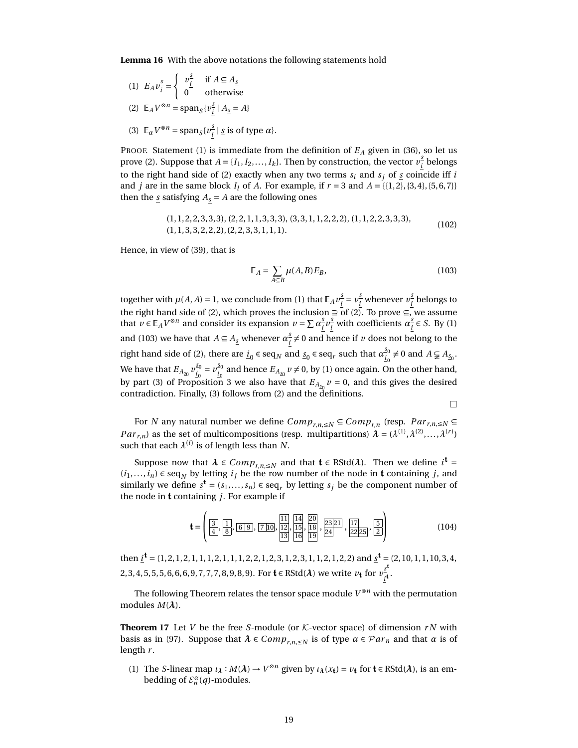**Lemma 16** With the above notations the following statements hold

(1) 
$$
E_A v_{\underline{i}}^s = \begin{cases} v_{\underline{i}}^s & \text{if } A \subseteq A_{\underline{s}} \\ 0 & \text{otherwise} \end{cases}
$$
  
\n(2)  $\mathbb{E}_A V^{\otimes n} = \text{span}_S \{v_{\underline{i}}^s | A_{\underline{s}} = A\}$   
\n(3)  $\mathbb{E}_\alpha V^{\otimes n} = \text{span}_S \{v_{\underline{i}}^s | \underline{s} \text{ is of type}}$ 

PROOF. Statement (1) is immediate from the definition of *E<sup>A</sup>* given in [\(36\)](#page-6-4), so let us prove (2). Suppose that  $A = \{I_1, I_2, \ldots, I_k\}$ . Then by construction, the vector  $v_i^s$ *i* belongs to the right hand side of (2) exactly when any two terms  $s_i$  and  $s_j$  of  $\underline{s}$  coincide iff *i* and *j* are in the same block *I*<sub>*l*</sub> of *A*. For example, if  $r = 3$  and  $A = \{\{1, 2\}, \{3, 4\}, \{5, 6, 7\}\}\$ then the  $\underline{s}$  satisfying  $A_s = A$  are the following ones

| *s* is of type *α*}.

$$
(1, 1, 2, 2, 3, 3, 3), (2, 2, 1, 1, 3, 3, 3), (3, 3, 1, 1, 2, 2, 2), (1, 1, 2, 2, 3, 3, 3), (1, 1, 3, 3, 2, 2, 2), (2, 2, 3, 3, 1, 1, 1).
$$
\n
$$
(102)
$$

Hence, in view of [\(39\)](#page-7-2), that is

<span id="page-18-1"></span>
$$
\mathbb{E}_A = \sum_{A \subseteq B} \mu(A, B) E_B,\tag{103}
$$

together with  $\mu(A, A) = 1$ , we conclude from (1) that  $\mathbb{E}_A v_j^S$  $\frac{s}{i} = v_i^{\frac{s}{i}}$  $\frac{s}{i}$  whenever  $v^{\frac{s}{i}}_{\frac{s}{i}}$  $\frac{z}{i}$  belongs to the right hand side of (2), which proves the inclusion  $\supseteq$  of (2). To prove ⊆, we assume that  $v \in \mathbb{E}_A V^{\otimes n}$  and consider its expansion  $v = \sum a_i^s$  $\frac{s}{i}v_i^{\frac{s}{i}}$  $\frac{s}{i}$  with coefficients  $\alpha_i^s$  $\frac{s}{i}$  ∈ *S*. By (1) and [\(103\)](#page-18-1) we have that  $A \subseteq A_s$  whenever  $\alpha_i^s$  $\frac{s}{i} \neq 0$  and hence if *v* does not belong to the right hand side of (2), there are  $\underline{i}_0 \in \text{seq}_N$  and  $\underline{s}_0 \in \text{seq}_r$  such that  $\alpha_{\underline{i}_0}^{s_0} \neq 0$  and  $A \subsetneq A_{\underline{s}_0}$ . We have that  $E_{A_{\underline{s_0}}}v_{\underline{i_0}}^{\underline{s_0}}=v_{\underline{i_0}}^{\underline{s_0}}$  and hence  $E_{A_{\underline{s_0}}}v\neq 0$ , by (1) once again. On the other hand, by part (3) of Proposition [3](#page-7-1) we also have that  $E_{A_{\underline{s_0}}}v = 0$ , and this gives the desired contradiction. Finally, (3) follows from (2) and the definitions.

$$
\Box
$$

For *N* any natural number we define  $Comp_{r,n,\leq N} \subseteq Comp_{r,n}$  (resp.  $Par_{r,n,\leq N} \subseteq$ *Par*<sub>*r*,*n*</sub>) as the set of multicompositions (resp. multipartitions)  $\lambda = (\lambda^{(1)}, \lambda^{(2)}, \dots, \lambda^{(r)})$ such that each  $\lambda^{(i)}$  is of length less than  $N.$ 

Suppose now that  $\lambda \in Comp_{r,n,\leq N}$  and that  $\mathbf{t} \in RStd(\lambda)$ . Then we define  $\underline{i}^{\mathbf{t}} =$  $(i_1,...,i_n)$  ∈ seq<sub>*N*</sub> by letting  $i_j$  be the row number of the node in **t** containing *j*, and similarly we define  $\underline{s}^{\mathbf{t}} = (s_1, \ldots, s_n) \in \text{seq}_r$  by letting  $s_j$  be the component number of the node in t containing *j*. For example if

$$
\mathbf{t} = \left( \frac{3}{4}, \frac{1}{8}, \frac{1}{6 \cdot 9}, \frac{1}{7 \cdot 10}, \frac{11}{12}, \frac{14}{15}, \frac{20}{18}, \frac{23}{24}, \frac{17}{22 \cdot 25}, \frac{5}{2} \right) \tag{104}
$$

then *i* <sup>t</sup> = (1, 2, 1, 2, 1, 1, 1, 2, 1, 1, 1, 2, 2, 1, 2, 3, 1, 2, 3, 1, 1, 2, 1, 2, 2) and *s* <sup>t</sup> = (2, 10, 1, 1, 10, 3, 4, 2, 3, 4, 5, 5, 5, 6, 6, 6, 9, 7, 7, 7, 8, 9, 8, 9). For  $\mathbf{t} \in \text{RStd}(\lambda)$  we write  $v_{\mathbf{t}}$  for  $v_{\mathbf{t}}^{\text{s}}$  $\frac{1}{i}$ t·

The following Theorem relates the tensor space module *V* <sup>⊗</sup>*<sup>n</sup>* with the permutation modules  $M(\lambda)$ .

<span id="page-18-0"></span>**Theorem 17** Let *V* be the free *S*-module (or  $K$ -vector space) of dimension  $rN$  with basis as in [\(97\)](#page-17-0). Suppose that  $\lambda \in Comp_{r,n \leq N}$  is of type  $\alpha \in Par_n$  and that  $\alpha$  is of length *r* .

(1) The *S*-linear map  $\iota_{\lambda}: M(\lambda) \to V^{\otimes n}$  given by  $\iota_{\lambda}(x_t) = \nu_t$  for  $t \in RStd(\lambda)$ , is an embedding of  $\mathcal{E}_n^{\alpha}(q)$ -modules.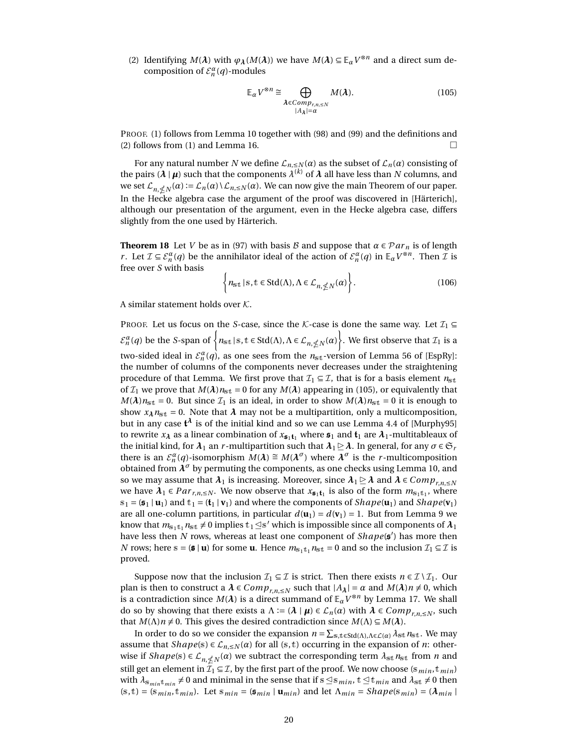(2) Identifying  $M(\lambda)$  with  $\varphi_{\lambda}(M(\lambda))$  we have  $M(\lambda) \subseteq \mathbb{E}_{\alpha}V^{\otimes n}$  and a direct sum decomposition of  $\mathcal{E}_n^{\alpha}(q)$ -modules

<span id="page-19-1"></span>
$$
\mathbb{E}_{\alpha} V^{\otimes n} \cong \bigoplus_{\substack{\boldsymbol{\lambda} \in Comp_{r,n,\leq N} \\ |A_{\boldsymbol{\lambda}}| = \alpha}} M(\boldsymbol{\lambda}).
$$
\n(105)

PROOF. (1) follows from Lemma [10](#page-12-0) together with [\(98\)](#page-17-1) and [\(99\)](#page-17-2) and the definitions and (2) follows from (1) and Lemma [16.](#page-17-3)

For any natural number *N* we define  $\mathcal{L}_{n, \leq N}(\alpha)$  as the subset of  $\mathcal{L}_n(\alpha)$  consisting of the pairs ( $\lambda$  |  $\mu$ ) such that the components  $\lambda^{(k)}$  of  $\lambda$  all have less than  $N$  columns, and we set  $\mathcal{L}_{n,\nleq N}(\alpha) := \mathcal{L}_n(\alpha) \setminus \mathcal{L}_{n,\leq N}(\alpha)$ . We can now give the main Theorem of our paper. In the Hecke algebra case the argument of the proof was discovered in [\[Härterich\]](#page-21-11), although our presentation of the argument, even in the Hecke algebra case, differs slightly from the one used by Härterich.

**Theorem 18** Let *V* be as in [\(97\)](#page-17-0) with basis B and suppose that  $\alpha \in \mathcal{P}ar_n$  is of length *r*. Let  $\mathcal{I} \subseteq \mathcal{E}_n^{\alpha}(q)$  be the annihilator ideal of the action of  $\mathcal{E}_n^{\alpha}(q)$  in  $\mathbb{E}_{\alpha}V^{\otimes n}$ . Then  $\mathcal{I}$  is free over *S* with basis

<span id="page-19-2"></span><span id="page-19-0"></span>
$$
\left\{ n_{\text{st}} \mid \mathbf{s}, \mathbf{t} \in \text{Std}(\Lambda), \Lambda \in \mathcal{L}_{n, \nleq N}(\alpha) \right\}.
$$
 (106)

A similar statement holds over  $K$ .

PROOF. Let us focus on the *S*-case, since the *K*-case is done the same way. Let  $\mathcal{I}_1 \subseteq$  $\mathcal{E}_n^{\alpha}(q)$  be the *S*-span of  $\bigg\{n_{\text{st}}\,|\, \text{s},\text{t}\in \text{Std}(\Lambda),\Lambda \in \mathcal{L}_{n,\nleq N}(\alpha)\bigg\}.$  We first observe that  $\mathcal{I}_1$  is a two-sided ideal in  $\mathcal{E}_n^{\alpha}(q)$ , as one sees from the  $n_{\text{st}}$ -version of Lemma 56 of [\[EspRy\]](#page-21-7): the number of columns of the components never decreases under the straightening procedure of that Lemma. We first prove that  $\mathcal{I}_1 \subseteq \mathcal{I}$ , that is for a basis element  $n_{st}$ of  $\mathcal{I}_1$  we prove that  $M(\lambda)n_{st} = 0$  for any  $M(\lambda)$  appearing in [\(105\)](#page-19-1), or equivalently that  $M(\lambda)n_{\rm st} = 0$ . But since  $\mathcal{I}_1$  is an ideal, in order to show  $M(\lambda)n_{\rm st} = 0$  it is enough to show  $x_{\lambda}$  $n_{\text{st}}$  = 0. Note that  $\lambda$  may not be a multipartition, only a multicomposition, but in any case  $\mathfrak{t}^\lambda$  is of the initial kind and so we can use Lemma 4.4 of [\[Murphy95\]](#page-22-8) to rewrite  $x_{\lambda}$  as a linear combination of  $x_{\mathfrak{s}_1\mathfrak{t}_1}$  where  $\mathfrak{s}_1$  and  $\mathfrak{t}_1$  are  $\lambda_1$ -multitableaux of the initial kind, for  $\lambda_1$  an *r*-multipartition such that  $\lambda_1 \geq \lambda$ . In general, for any  $\sigma \in \mathfrak{S}_r$ there is an  $\mathcal{E}_{n}^{\alpha}(q)$ -isomorphism  $M(\lambda) \cong M(\lambda^{\sigma})$  where  $\lambda^{\sigma}$  is the *r*-multicomposition obtained from  $\lambda^{\sigma}$  by permuting the components, as one checks using Lemma [10,](#page-12-0) and so we may assume that  $\lambda_1$  is increasing. Moreover, since  $\lambda_1 \geq \lambda$  and  $\lambda \in Comp_{r,n, \leq N}$ we have  $\lambda_1 \in Par_{r,n,\leq N}$ . We now observe that  $x_{\mathfrak{s}_1 \mathfrak{t}_1}$  is also of the form  $m_{s_1t_1}$ , where  $s_1 = (\mathbf{s}_1 \mid \mathbf{u}_1)$  and  $t_1 = (\mathbf{t}_1 \mid \mathbf{v}_1)$  and where the components of *Shape*( $\mathbf{u}_1$ ) and *Shape*( $\mathbf{v}_1$ ) are all one-column partitions, in particular  $d(\mathbf{u}_1) = d(\mathbf{v}_1) = 1$ . But from Lemma [9](#page-12-6) we know that  $m_{s_1t_1}n_{st} \neq 0$  implies  $t_1 \leq s'$  which is impossible since all components of  $\lambda_1$ have less then *N* rows, whereas at least one component of  $Shape(s')$  has more then *N* rows; here s = (s | **u**) for some **u**. Hence  $m_{s_1t_1}n_{s_1t_2} = 0$  and so the inclusion  $\mathcal{I}_1 \subseteq \mathcal{I}$  is proved.

Suppose now that the inclusion  $\mathcal{I}_1 \subseteq \mathcal{I}$  is strict. Then there exists  $n \in \mathcal{I} \setminus \mathcal{I}_1$ . Our plan is then to construct a  $\lambda \in Comp_{r,n, \leq N}$  such that  $|A_{\lambda}| = \alpha$  and  $M(\lambda)n \neq 0$ , which is a contradiction since  $M(\lambda)$  is a direct summand of  $\mathbb{E}_{\alpha}V^{\otimes n}$  by Lemma [17.](#page-18-0) We shall do so by showing that there exists a  $\Lambda := (\lambda | \mu) \in \mathcal{L}_n(\alpha)$  with  $\lambda \in Comp_{r,n,\leq N}$ , such that  $M(\Lambda)n \neq 0$ . This gives the desired contradiction since  $M(\Lambda) \subseteq M(\lambda)$ .

In order to do so we consider the expansion  $n = \sum_{s,t \in Std(\Lambda),\Lambda \in \mathcal{L}(\alpha)} \lambda_{st} n_{st}$ . We may assume that  $Shape(s) \in L_{n, \leq N}(\alpha)$  for all (s, t) occurring in the expansion of *n*: otherwise if  $Shape(s) \in L_{n, \nleq N}(\alpha)$  we subtract the corresponding term  $\lambda_{st} n_{st}$  from *n* and still get an element in  $I_1 \subseteq I$ , by the first part of the proof. We now choose ( $s_{min}, t_{min}$ ) with  $\lambda_{s_{min}t_{min}} \neq 0$  and minimal in the sense that if  $s \leq s_{min}$ ,  $t \leq t_{min}$  and  $\lambda_{st} \neq 0$  then  $(s,t) = (s_{min}, t_{min})$ . Let  $s_{min} = (\mathfrak{s}_{min} | \mathbf{u}_{min})$  and let  $\Lambda_{min} = Shape(s_{min}) = (\lambda_{min} | \mathbf{u}_{min})$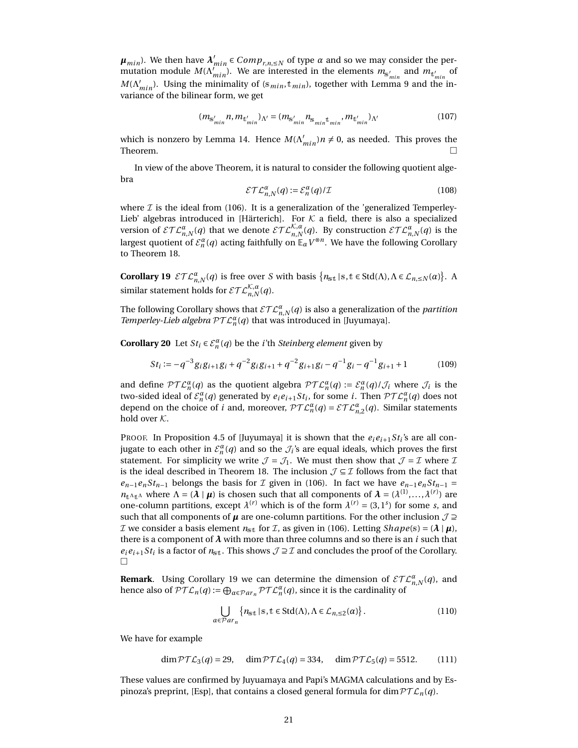*μ*<sub>*min</sub>*). We then have  $λ'_{min}$  ∈  $Comp_{r,n,≤N}$  of type *α* and so we may consider the per-</sub> mutation module  $M(\Lambda_{min}^{l'})$ . We are interested in the elements  $m_{s'_{min}}$  and  $m_{t'_{min}}$  of  $M(\Lambda'_{min})$ . Using the minimality of (s<sub>min</sub>, t<sub>min</sub>), together with Lemma [9](#page-12-6) and the invariance of the bilinear form, we get

$$
(m_{s'_{min}} n, m_{t'_{min}})_{\Lambda'} = (m_{s'_{min}} n_{s_{min} t_{min}}, m_{t'_{min}})_{\Lambda'}
$$
(107)

which is nonzero by Lemma [14.](#page-16-0) Hence  $M(\Lambda'_{min})n \neq 0$ , as needed. This proves the Theorem.  $\Box$ 

In view of the above Theorem, it is natural to consider the following quotient algebra

$$
\mathcal{ETL}_{n,N}^{\alpha}(q) := \mathcal{E}_n^{\alpha}(q) / \mathcal{I}
$$
 (108)

where  $I$  is the ideal from [\(106\)](#page-19-2). It is a generalization of the 'generalized Temperley-Lieb' algebras introduced in [\[Härterich\]](#page-21-11). For  $K$  a field, there is also a specialized version of  $\mathcal{ETL}_{n,N}^{\alpha}(q)$  that we denote  $\mathcal{ETL}_{n,N}^{\mathcal{K},\alpha}(q)$ . By construction  $\mathcal{ETL}_{n,N}^{\alpha}(q)$  is the largest quotient of  $\mathcal{E}_n^{\alpha}(q)$  acting faithfully on  $\mathbb{E}_{\alpha}V^{\otimes n}$ . We have the following Corollary to Theorem [18.](#page-19-0)

<span id="page-20-0"></span>**Corollary 19**  $\mathcal{ETL}_{n,N}^{\alpha}(q)$  is free over *S* with basis  $\{n_{st} \mid s, t \in \text{Std}(\Lambda), \Lambda \in \mathcal{L}_{n, \leq N}(\alpha)\}\$ . A similar statement holds for  $\mathcal{ETL}_{n,N}^{\mathcal{K},a}(q)$ .

The following Corollary shows that  $\mathcal{ETL}_{n,N}^{\alpha}(q)$  is also a generalization of the *partition Temperley-Lieb algebra*  $\mathcal{PTL}_n^{\alpha}(q)$  that was introduced in [\[Juyumaya\]](#page-22-1).

**Corollary 20** Let  $St_i \in \mathcal{E}_n^{\alpha}(q)$  be the *i*'th *Steinberg element* given by

$$
St_i := -q^{-3}g_i g_{i+1} g_i + q^{-2}g_i g_{i+1} + q^{-2}g_{i+1} g_i - q^{-1}g_i - q^{-1}g_{i+1} + 1
$$
 (109)

and define  $\mathcal{PTL}_n^{\alpha}(q)$  as the quotient algebra  $\mathcal{PTL}_n^{\alpha}(q) := \mathcal{E}_n^{\alpha}(q)/\mathcal{J}_i$  where  $\mathcal{J}_i$  is the two-sided ideal of  $\mathcal{E}_n^{\alpha}(q)$  generated by  $e_i e_{i+1} St_i$ , for some *i*. Then  $\mathcal{P} \mathcal{TL}_n^{\alpha}(q)$  does not depend on the choice of *i* and, moreover,  $\mathcal{PTL}_n^{\alpha}(q) = \mathcal{ETL}_{n,2}^{\alpha}(q)$ . Similar statements hold over K.

PROOF. In Proposition 4.5 of [\[Juyumaya\]](#page-22-1) it is shown that the  $e_i e_{i+1} S t_i$ 's are all conjugate to each other in  $\mathcal{E}_n^{\alpha}(q)$  and so the  $\mathcal{J}_i$ 's are equal ideals, which proves the first statement. For simplicity we write  $\mathcal{J} = \mathcal{J}_1$ . We must then show that  $\mathcal{J} = \mathcal{I}$  where  $\mathcal{I}$ is the ideal described in Theorem [18.](#page-19-0) The inclusion  $\mathcal{J} \subseteq \mathcal{I}$  follows from the fact that  $e_{n-1}e_nSt_{n-1}$  belongs the basis for *I* given in [\(106\)](#page-19-2). In fact we have  $e_{n-1}e_nSt_{n-1}$  =  $n_{t\Lambda_t}$  where  $\Lambda = (\lambda \mid \mu)$  is chosen such that all components of  $\lambda = (\lambda^{(1)}, \ldots, \lambda^{(r)})$  are one-column partitions, except  $\lambda^{(r)}$  which is of the form  $\lambda^{(r)} = (3, 1^s)$  for some *s*, and such that all components of  $\mu$  are one-column partitions. For the other inclusion  $\mathcal{J} \supseteq$ *I* we consider a basis element  $n_{\text{st}}$  for *I*, as given in [\(106\)](#page-19-2). Letting *Shape*(s) =  $(\lambda | \mu)$ , there is a component of  $\lambda$  with more than three columns and so there is an *i* such that  $e_i e_{i+1}$  *St<sub>i</sub>* is a factor of  $n_{\text{st}}$ . This shows  $\mathcal{J} \supseteq \mathcal{I}$  and concludes the proof of the Corollary.  $\Box$ 

**Remark**. Using Corollary [19](#page-20-0) we can determine the dimension of  $\mathcal{ETL}_{n,N}^{\alpha}(q)$ , and hence also of  $\mathcal{PTL}_n(q) := \bigoplus_{\alpha \in \mathcal{P}ar_n} \mathcal{PTL}_n^{\alpha}(q)$ , since it is the cardinality of

<span id="page-20-1"></span>
$$
\bigcup_{\alpha \in \mathcal{P}ar_n} \{n_{\text{st}} \mid \text{s}, \text{t} \in \text{Std}(\Lambda), \Lambda \in \mathcal{L}_{n, \leq 2}(\alpha)\}.
$$
 (110)

We have for example

$$
\dim \mathcal{PTL}_3(q) = 29, \quad \dim \mathcal{PTL}_4(q) = 334, \quad \dim \mathcal{PTL}_5(q) = 5512. \tag{111}
$$

These values are confirmed by Juyuamaya and Papi's MAGMA calculations and by Es-pinoza's preprint, [\[Esp\]](#page-21-14), that contains a closed general formula for dim  $\mathcal{PTL}_n(q)$ .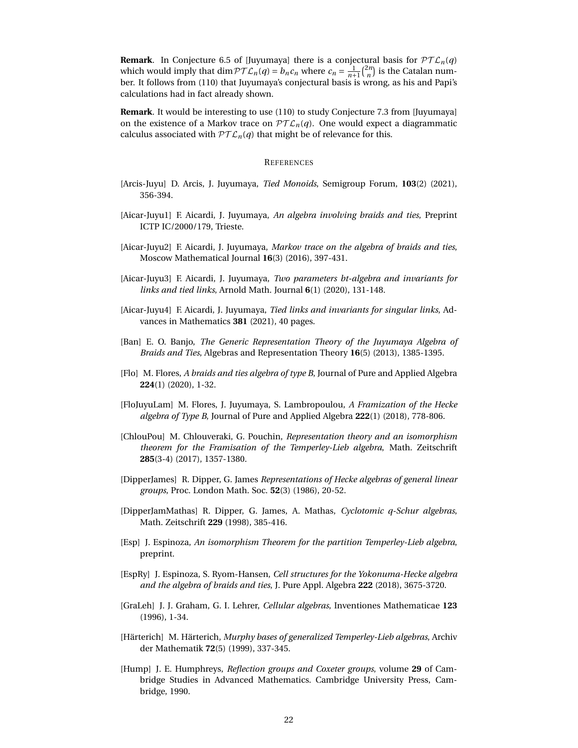**Remark**. In Conjecture 6.5 of [\[Juyumaya\]](#page-22-1) there is a conjectural basis for  $\mathcal{PTL}_n(q)$ which would imply that dim  $\mathcal{PTL}_n(q) = b_n c_n$  where  $c_n = \frac{1}{n+1} {2n \choose n}$  is the Catalan number. It follows from [\(110\)](#page-20-1) that Juyumaya's conjectural basis is wrong, as his and Papi's calculations had in fact already shown.

**Remark**. It would be interesting to use [\(110\)](#page-20-1) to study Conjecture 7.3 from [\[Juyumaya\]](#page-22-1) on the existence of a Markov trace on  $\mathcal{PTL}_n(q)$ . One would expect a diagrammatic calculus associated with  $PTL_n(q)$  that might be of relevance for this.

#### **REFERENCES**

- <span id="page-21-1"></span>[Arcis-Juyu] D. Arcis, J. Juyumaya, *Tied Monoids*, Semigroup Forum, **103**(2) (2021), 356-394.
- <span id="page-21-0"></span>[Aicar-Juyu1] F. Aicardi, J. Juyumaya, *An algebra involving braids and ties*, Preprint ICTP IC/2000/179, Trieste.
- <span id="page-21-2"></span>[Aicar-Juyu2] F. Aicardi, J. Juyumaya, *Markov trace on the algebra of braids and ties*, Moscow Mathematical Journal **16**(3) (2016), 397-431.
- <span id="page-21-3"></span>[Aicar-Juyu3] F. Aicardi, J. Juyumaya, *Two parameters bt-algebra and invariants for links and tied links*, Arnold Math. Journal **6**(1) (2020), 131-148.
- <span id="page-21-4"></span>[Aicar-Juyu4] F. Aicardi, J. Juyumaya, *Tied links and invariants for singular links*, Advances in Mathematics **381** (2021), 40 pages.
- <span id="page-21-5"></span>[Ban] E. O. Banjo, *The Generic Representation Theory of the Juyumaya Algebra of Braids and Ties*, Algebras and Representation Theory **16**(5) (2013), 1385-1395.
- <span id="page-21-8"></span>[Flo] M. Flores, *A braids and ties algebra of type B*, Journal of Pure and Applied Algebra **224**(1) (2020), 1-32.
- [FloJuyuLam] M. Flores, J. Juyumaya, S. Lambropoulou, *A Framization of the Hecke algebra of Type B*, Journal of Pure and Applied Algebra **222**(1) (2018), 778-806.
- <span id="page-21-6"></span>[ChlouPou] M. Chlouveraki, G. Pouchin, *Representation theory and an isomorphism theorem for the Framisation of the Temperley-Lieb algebra*, Math. Zeitschrift **285**(3-4) (2017), 1357-1380.
- <span id="page-21-9"></span>[DipperJames] R. Dipper, G. James *Representations of Hecke algebras of general linear groups*, Proc. London Math. Soc. **52**(3) (1986), 20-52.
- <span id="page-21-10"></span>[DipperJamMathas] R. Dipper, G. James, A. Mathas, *Cyclotomic q-Schur algebras*, Math. Zeitschrift **229** (1998), 385-416.
- <span id="page-21-14"></span>[Esp] J. Espinoza, *An isomorphism Theorem for the partition Temperley-Lieb algebra*, preprint.
- <span id="page-21-7"></span>[EspRy] J. Espinoza, S. Ryom-Hansen, *Cell structures for the Yokonuma-Hecke algebra and the algebra of braids and ties*, J. Pure Appl. Algebra **222** (2018), 3675-3720.
- <span id="page-21-13"></span>[GraLeh] J. J. Graham, G. I. Lehrer, *Cellular algebras*, Inventiones Mathematicae **123** (1996), 1-34.
- <span id="page-21-11"></span>[Härterich] M. Härterich, *Murphy bases of generalized Temperley-Lieb algebras*, Archiv der Mathematik **72**(5) (1999), 337-345.
- <span id="page-21-12"></span>[Hump] J. E. Humphreys, *Reflection groups and Coxeter groups*, volume **29** of Cambridge Studies in Advanced Mathematics. Cambridge University Press, Cambridge, 1990.